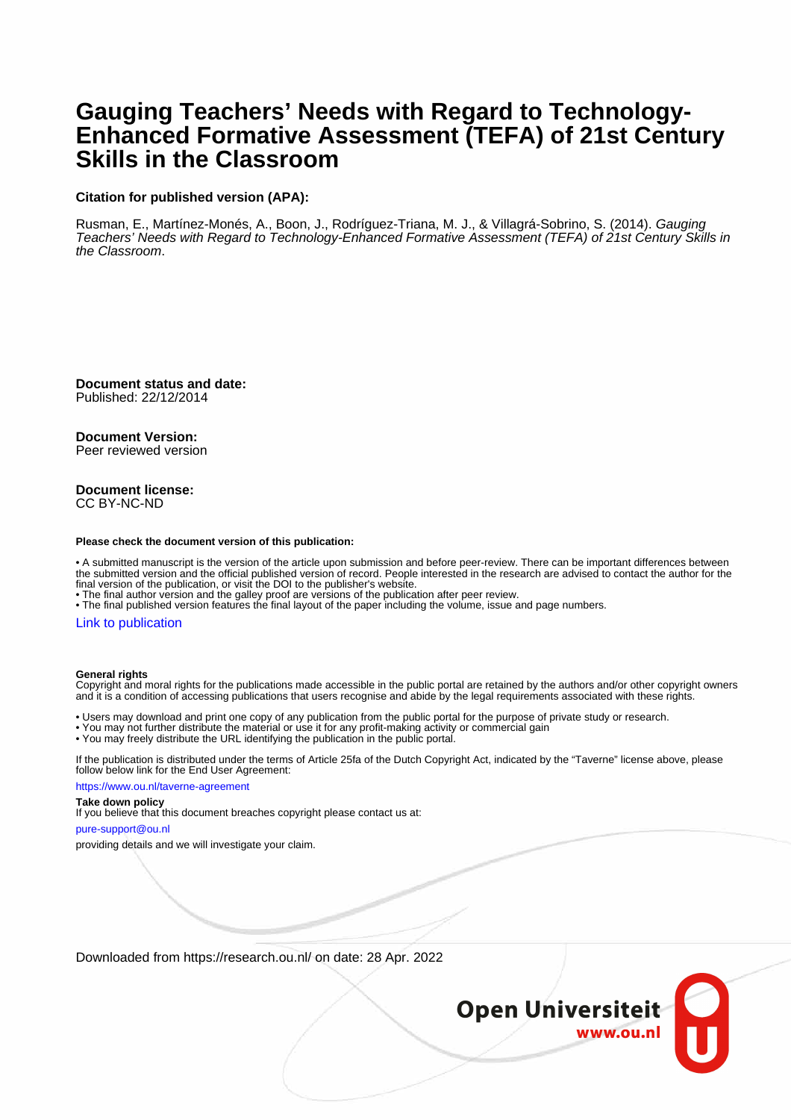#### **Gauging Teachers' Needs with Regard to Technology-Enhanced Formative Assessment (TEFA) of 21st Century Skills in the Classroom**

#### **Citation for published version (APA):**

Rusman, E., Martínez-Monés, A., Boon, J., Rodríguez-Triana, M. J., & Villagrá-Sobrino, S. (2014). Gauging Teachers' Needs with Regard to Technology-Enhanced Formative Assessment (TEFA) of 21st Century Skills in the Classroom.

**Document status and date:** Published: 22/12/2014

**Document Version:** Peer reviewed version

#### **Document license:** CC BY-NC-ND

#### **Please check the document version of this publication:**

• A submitted manuscript is the version of the article upon submission and before peer-review. There can be important differences between the submitted version and the official published version of record. People interested in the research are advised to contact the author for the final version of the publication, or visit the DOI to the publisher's website.

• The final author version and the galley proof are versions of the publication after peer review.

• The final published version features the final layout of the paper including the volume, issue and page numbers.

#### [Link to publication](https://research.ou.nl/en/publications/f61d7ba5-7a8c-47d9-a06b-205ce4bf1679)

#### **General rights**

Copyright and moral rights for the publications made accessible in the public portal are retained by the authors and/or other copyright owners and it is a condition of accessing publications that users recognise and abide by the legal requirements associated with these rights.

• Users may download and print one copy of any publication from the public portal for the purpose of private study or research.

- You may not further distribute the material or use it for any profit-making activity or commercial gain
- You may freely distribute the URL identifying the publication in the public portal.

If the publication is distributed under the terms of Article 25fa of the Dutch Copyright Act, indicated by the "Taverne" license above, please follow below link for the End User Agreement:

https://www.ou.nl/taverne-agreement

#### **Take down policy**

If you believe that this document breaches copyright please contact us at:

pure-support@ou.nl

providing details and we will investigate your claim.

Downloaded from https://research.ou.nl/ on date: 28 Apr. 2022

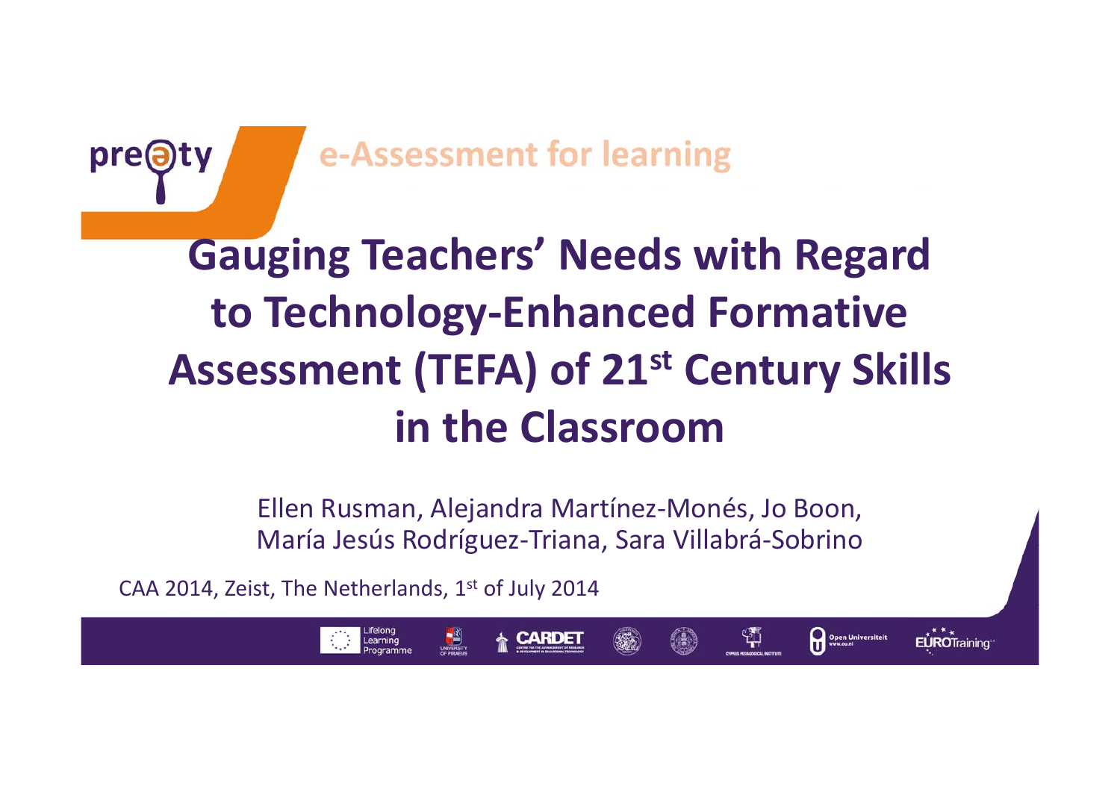

e-Assessment for learning

## **Gauging Teachers' Needs with Regard to Technology‐Enhanced Formative Assessment (TEFA) of 21st Century Skills in the Classroom**

Ellen Rusman, Alejandra Martínez‐Monés, Jo Boon, María Jesús Rodríguez‐Triana, Sara Villabrá‐Sobrino

Open Universiteit

ង្ស

EUROTraining

CAA 2014, Zeist, The Netherlands,  $1^{\text{st}}$  of July 2014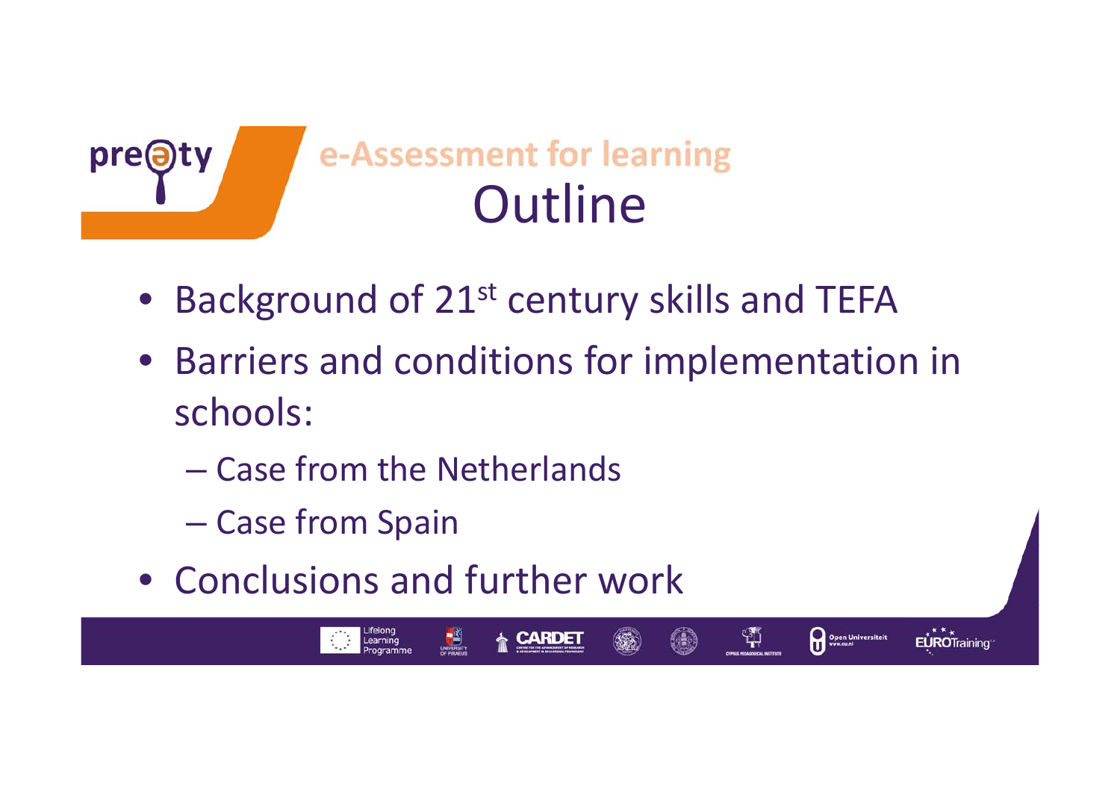

- Background of 21<sup>st</sup> century skills and TEFA
- Barriers and conditions for implementation in schools:

Open Universiteit

EUROTraining

쒂.

- Case from the Netherlands
- Case from Spain
- Conclusions and further work

Lifelong<br>Learning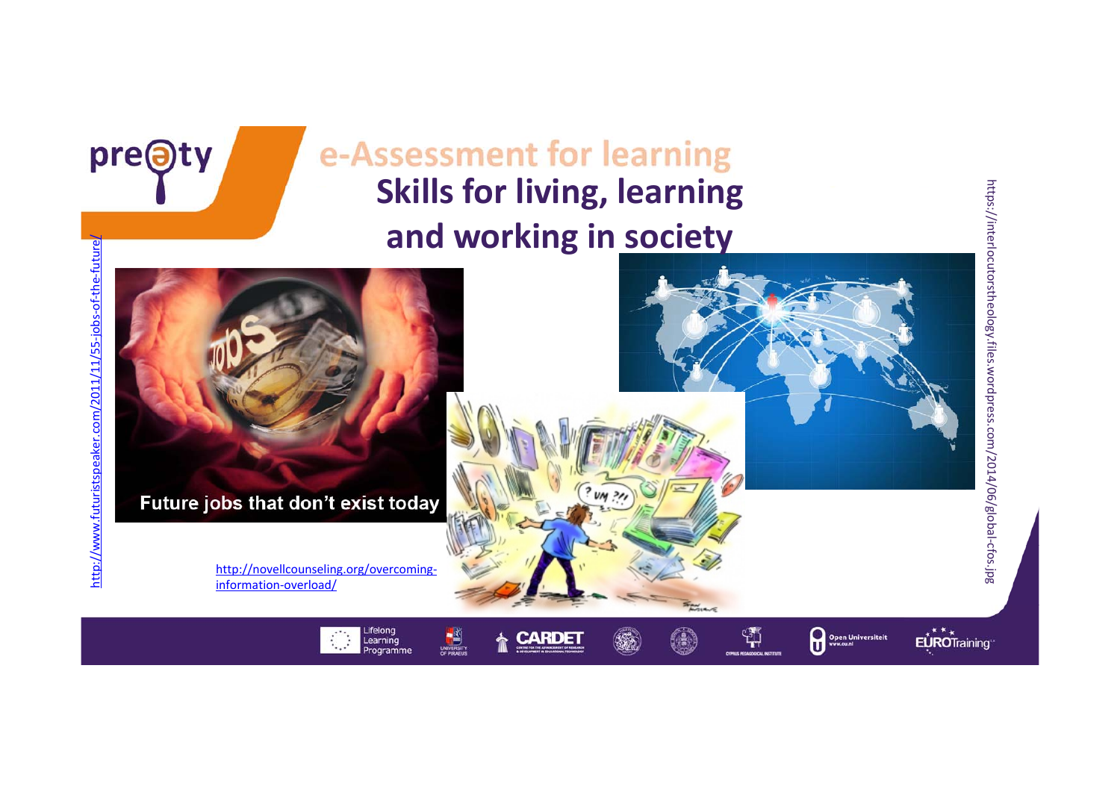



pre@ty



https://interlocutorstheology.files.wordpress.com/2014/06/global-cfos.jpg https://interlocutorstheology.files.wordpress.com/2014/06/global‐cfos.jpg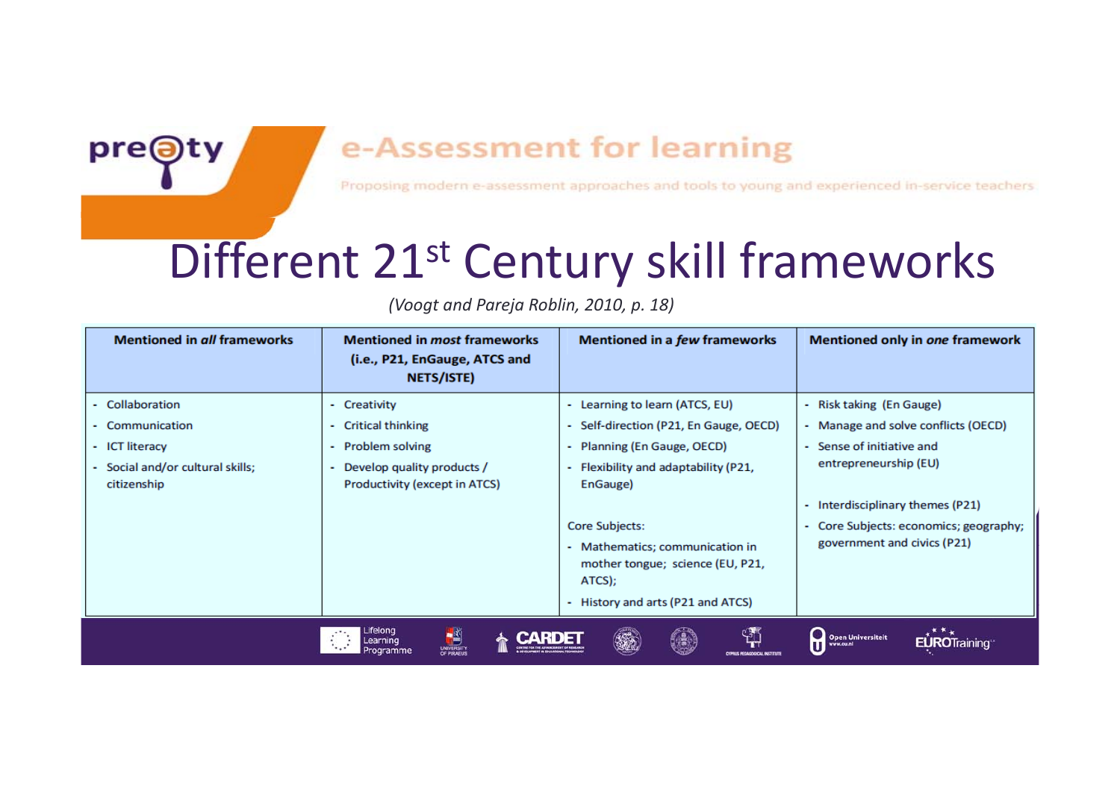### **e-Assessment for learning**

**Young and experienced in‐service teachers**

## Different 21st Century skill frameworks

*(Voogt and Pareja Roblin, 2010, p. 18)*

pre@

**Tools**

| <b>Mentioned in all frameworks</b>            | <b>Mentioned in most frameworks</b><br>(i.e., P21, EnGauge, ATCS and<br>NETS/ISTE) | <b>Mentioned in a few frameworks</b>                                                                               | <b>Mentioned only in one framework</b>             |
|-----------------------------------------------|------------------------------------------------------------------------------------|--------------------------------------------------------------------------------------------------------------------|----------------------------------------------------|
| - Collaboration                               | Creativity<br>۰                                                                    | - Learning to learn (ATCS, EU)                                                                                     | Risk taking (En Gauge)<br>×.                       |
| - Communication                               | <b>Critical thinking</b><br>۰.                                                     | - Self-direction (P21, En Gauge, OECD)                                                                             | - Manage and solve conflicts (OECD)                |
| - ICT literacy                                | Problem solving<br>٠                                                               | - Planning (En Gauge, OECD)                                                                                        | - Sense of initiative and                          |
| Social and/or cultural skills;<br>citizenship | Develop quality products /<br>Productivity (except in ATCS)                        | - Flexibility and adaptability (P21,<br>EnGauge)                                                                   | entrepreneurship (EU)                              |
|                                               |                                                                                    |                                                                                                                    | Interdisciplinary themes (P21)                     |
|                                               |                                                                                    | Core Subjects:                                                                                                     | - Core Subjects: economics; geography;             |
|                                               |                                                                                    | - Mathematics; communication in<br>mother tongue; science (EU, P21,<br>ATCS);<br>- History and arts (P21 and ATCS) | government and civics (P21)                        |
|                                               | Lifelong<br>UNIVERSITY<br>OF PIRAEUS<br>Learning<br>Programme                      | $\mathbb{C}^{\mathbb{Z}}$<br>【無数】                                                                                  | ****<br>Open Universiteit<br><b>EUROTraining</b> " |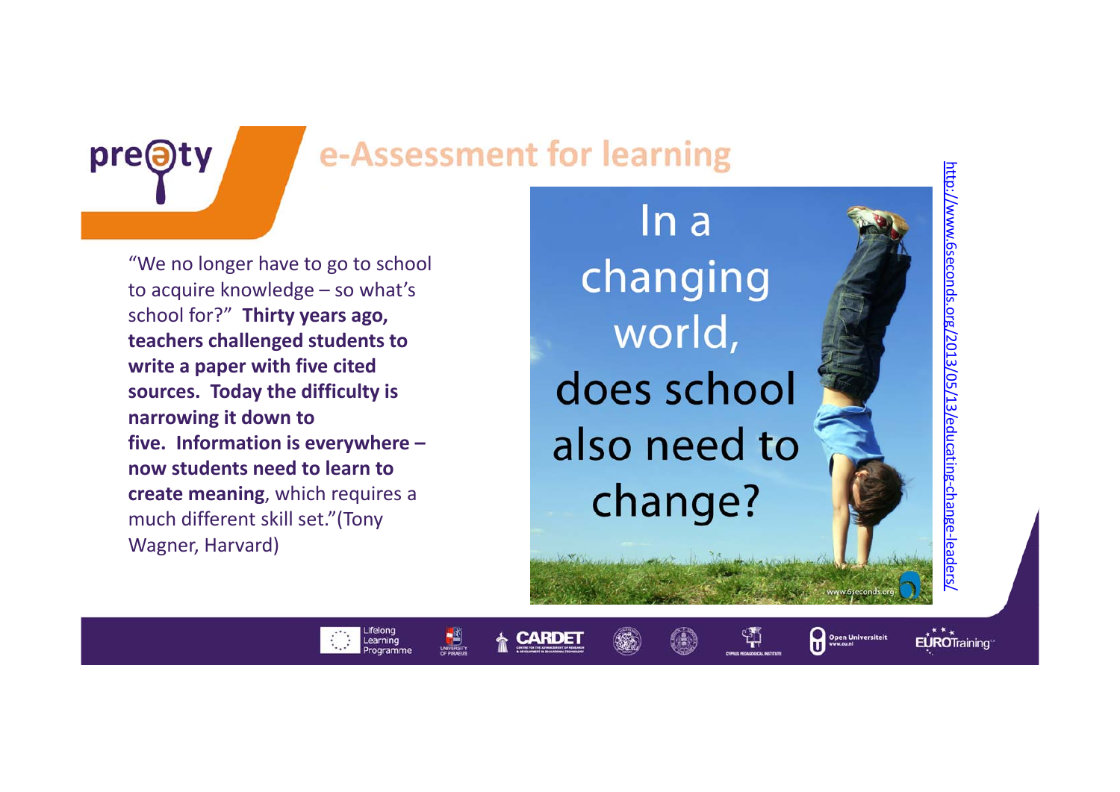

### e-Assessment for learning

"We no longer have to go to school to acquire knowledge – so what's school for?" **Thirty years ago, teachers challenged students to write <sup>a</sup> paper with five cited sources. Today the difficulty is narrowing it down to five. Information is everywhere – now students need to learn to create meaning**, which requires <sup>a</sup> much different skill set."(Tony Wagner, Harvard)

Lifelong<br>Learning

Programme

 $ln a$ changing world, does school also need to change?

http://www.6seconds.org/2013/05/13/educating

‐change

‐leaders/

EÙROTraining

Open Universiteit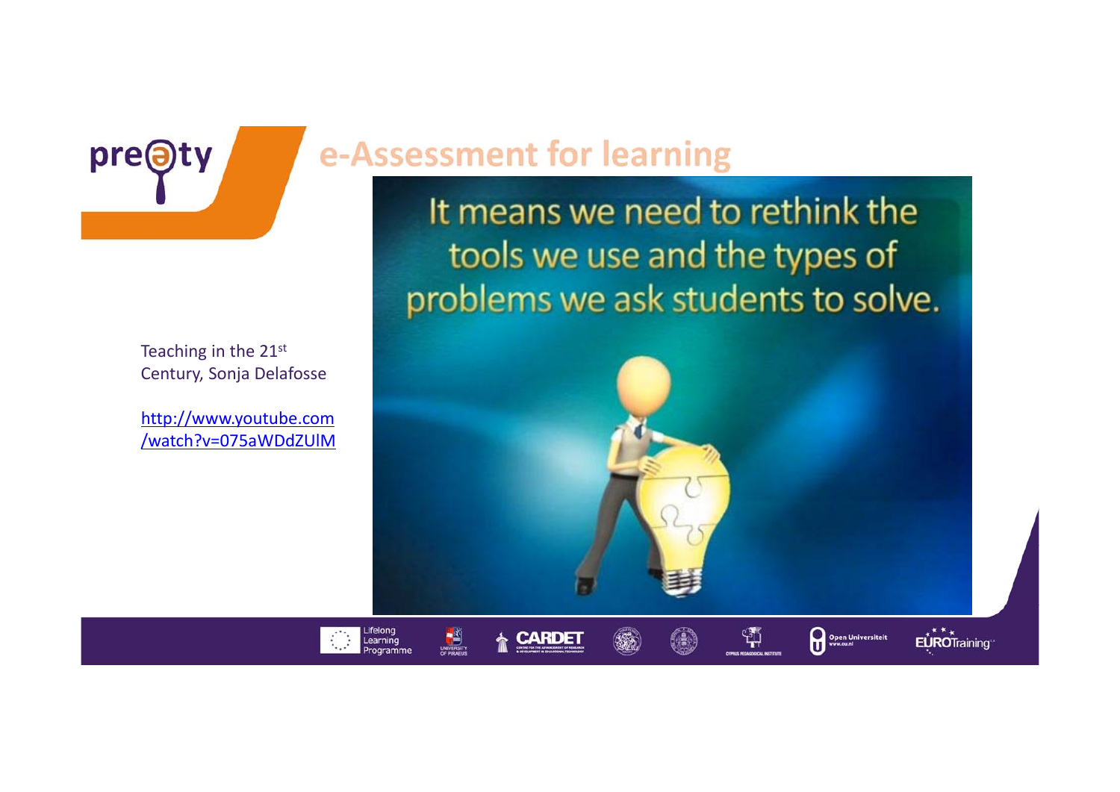

Teaching in the 21st Century, Sonja Delafosse

http://www.youtube.com /watch?v=075aWDdZUlM

Lifelong<br>Learning

Programme

**AND** 

**A CARDET** 

### e-Assessment for learning

It means we need to rethink the tools we use and the types of problems we ask students to solve.

 $\mathfrak{P}$ 

Open Universiteit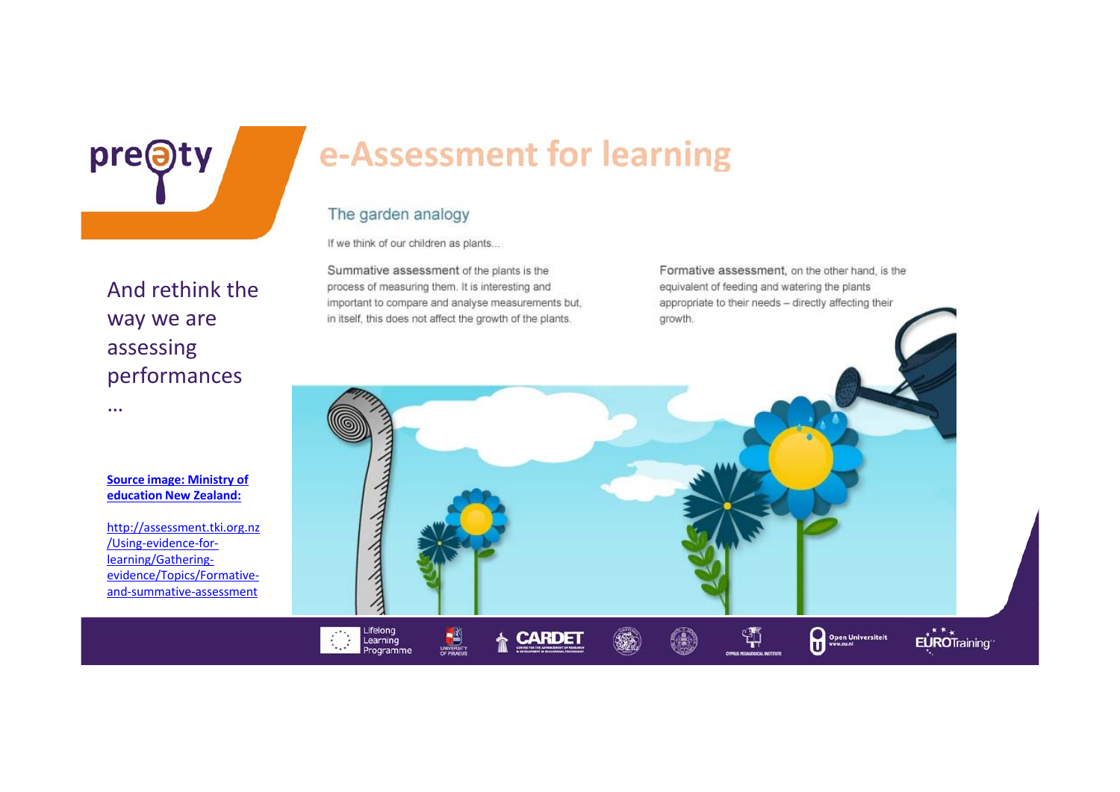pre@ty

And rethink the

way we are

performances

assessing

…

### e-Assessment for learning

#### The garden analogy

**Companying** 

Lifelong<br>Learning

Programme

UNIVERSIT

**CARDET** 

If we think of our children as plants...

Summative assessment of the plants is the process of measuring them. It is interesting and important to compare and analyse measurements but, in itself, this does not affect the growth of the plants.

Formative assessment, on the other hand, is the equivalent of feeding and watering the plants appropriate to their needs - directly affecting their growth.

\$

Open Universiteit

EÙROTraining

**Source image: Ministry of education New Zealand:**

http://assessment.tki.org.nz /Using‐evidence‐for‐ learning/Gathering‐ evidence/Topics/Formative‐ and‐summative‐assessment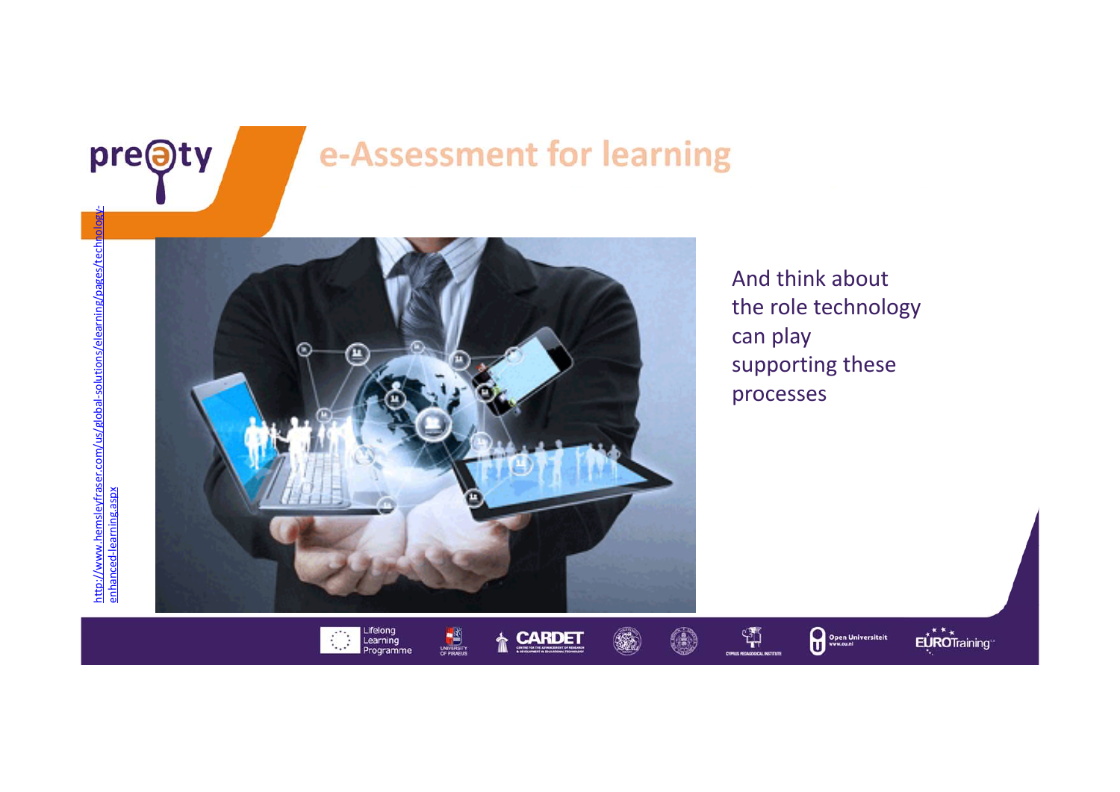

### e-Assessment for learning



And think about the role technology can play supporting these processes

Open Universiteit

EUROTraining

 $\frac{1}{2}$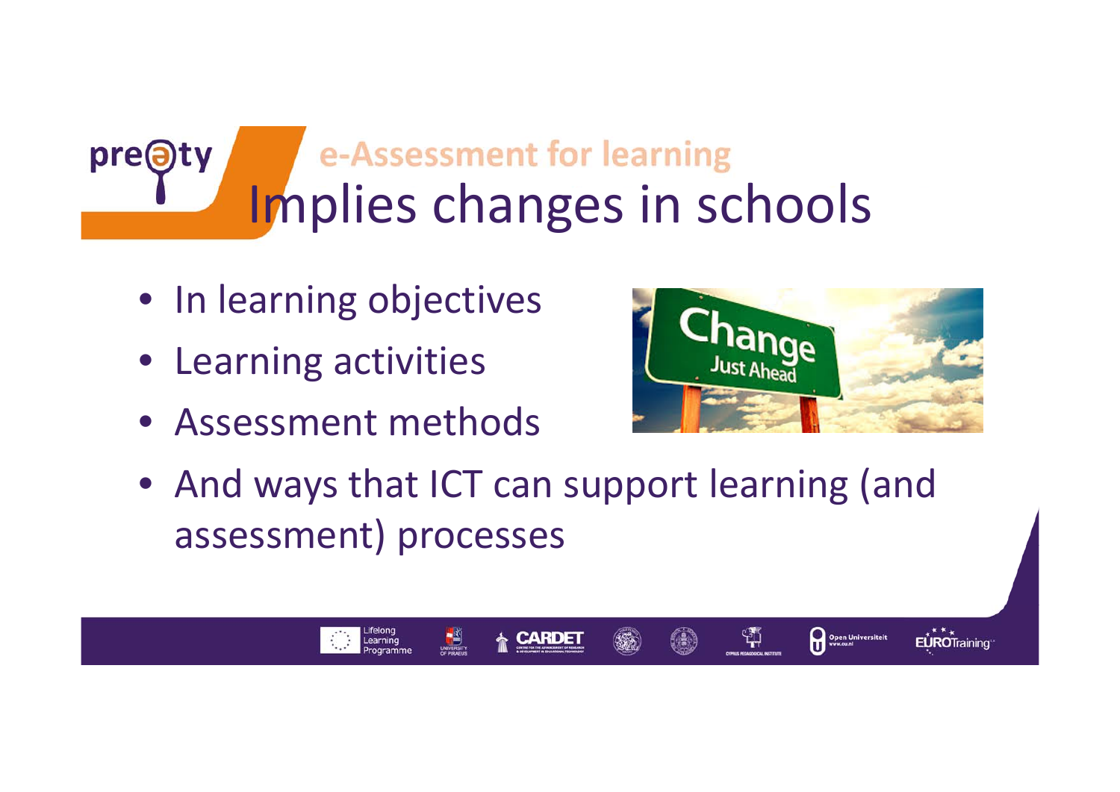#### e-Assessment for learning pre@ Implies changes in schools

- In learning objectives
- Learning activities
- Assessment methods

Learning



쒀

Open Universiteit

EUROTraining

• And ways that ICT can support learning (and assessment) processes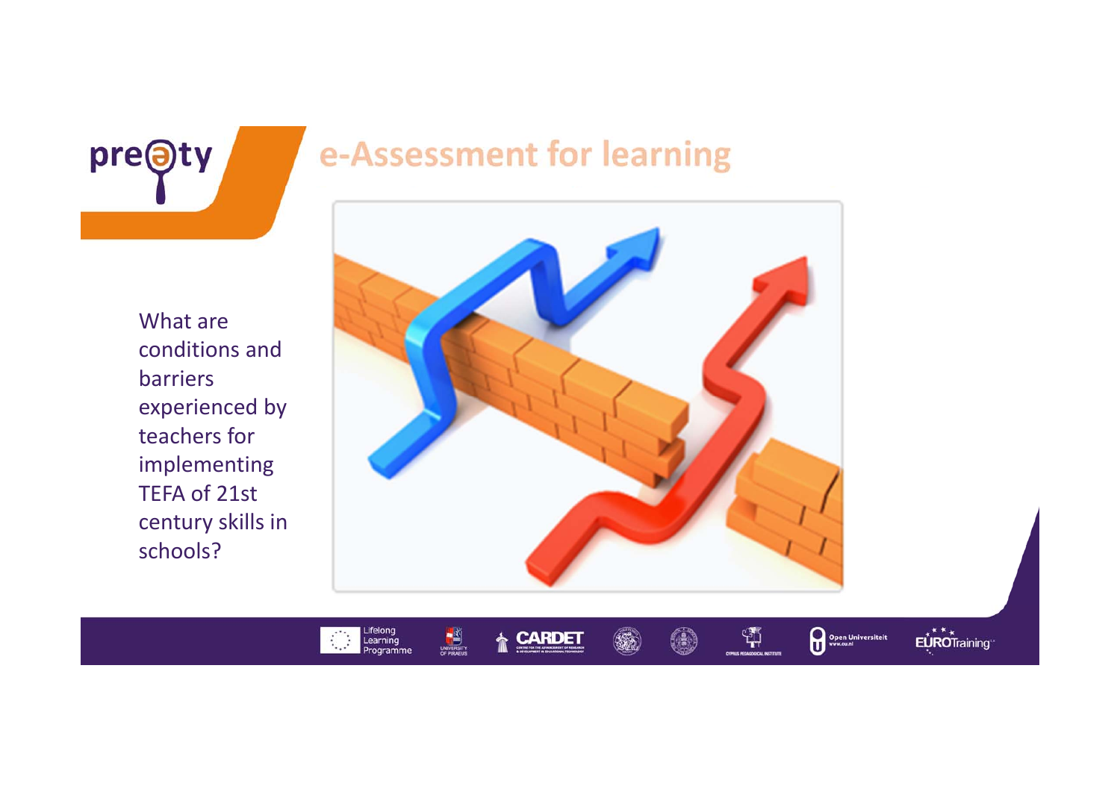

### e-Assessment for learning

What areconditions andbarriers experienced by teachers for implementing TEFA of 21st century skills in schools?

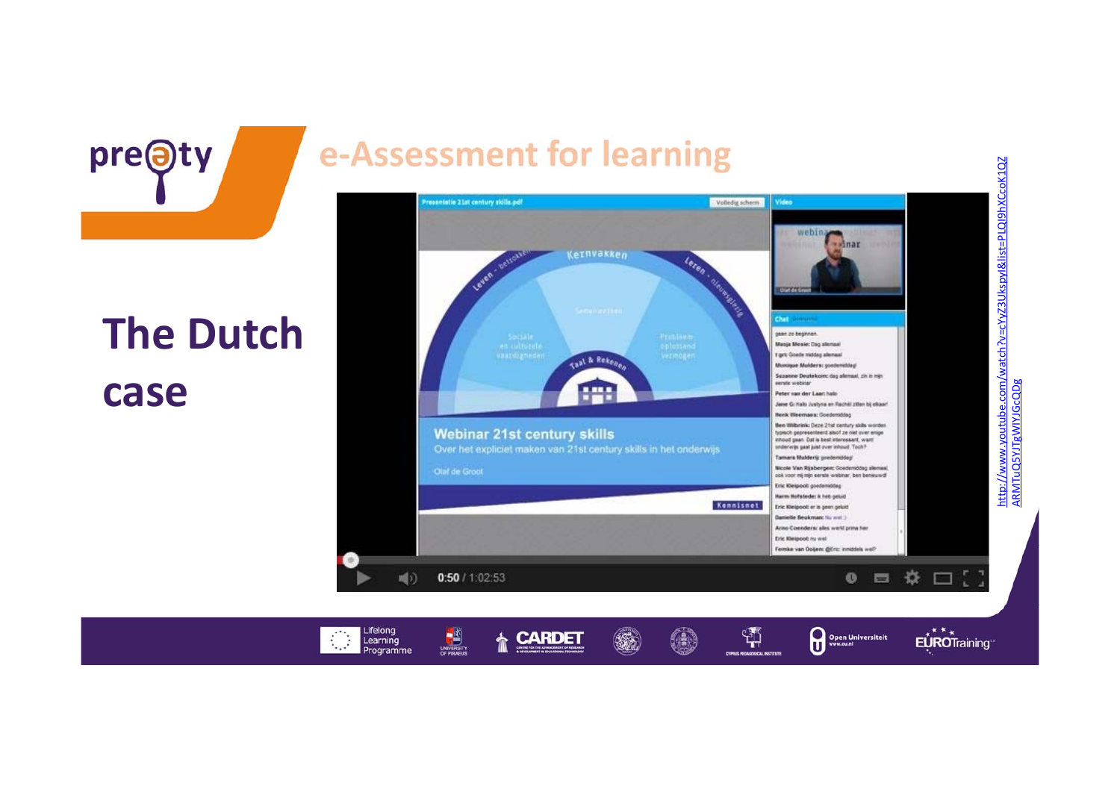

Learning

Programme

1,

pre@ty

### e-Assessment for learning

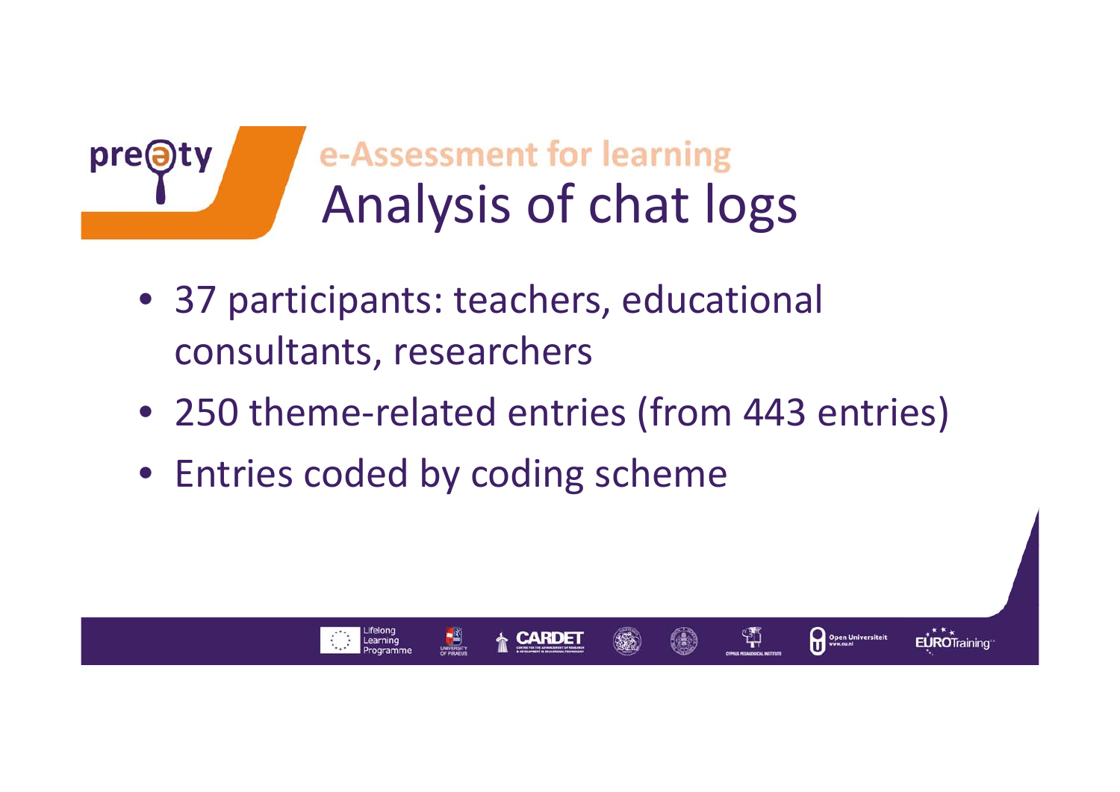

## e-Assessment for learning Analysis of chat logs

- 37 participants: teachers, educational consultants, researchers
- 250 theme‐related entries (from 443 entries)

쒀

Open Universiteit

**EUROTraining** 

• Entries coded by coding scheme

Learning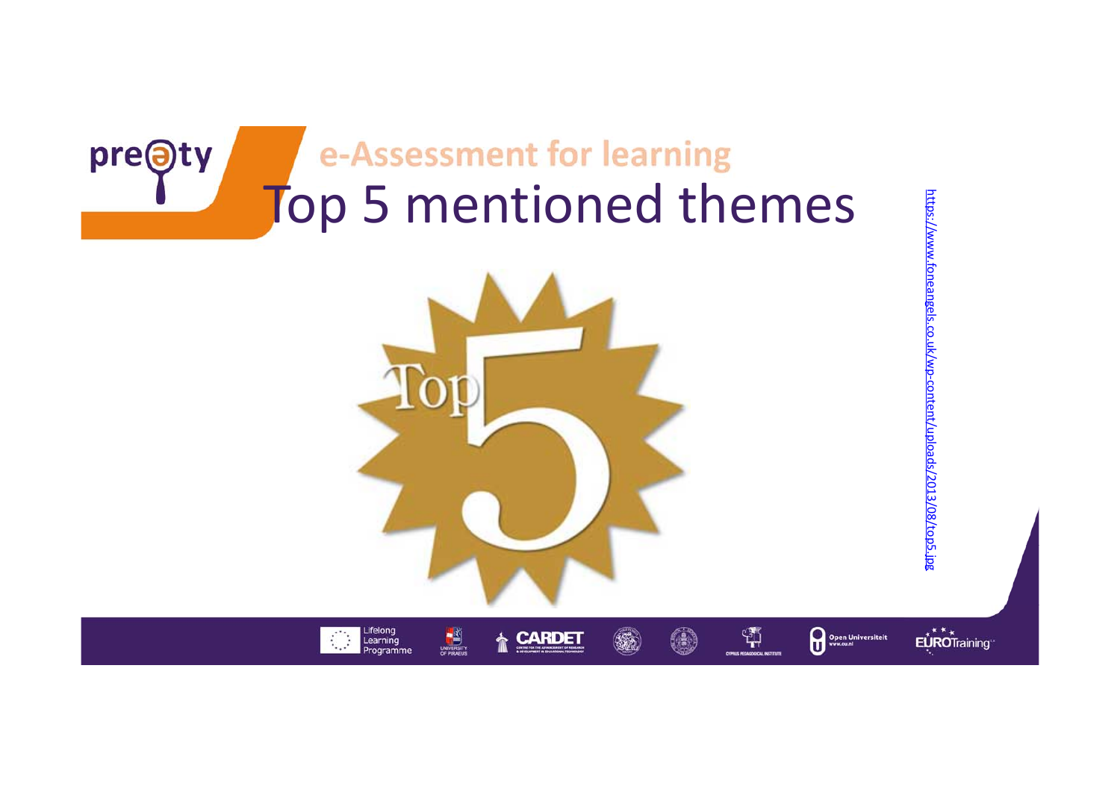

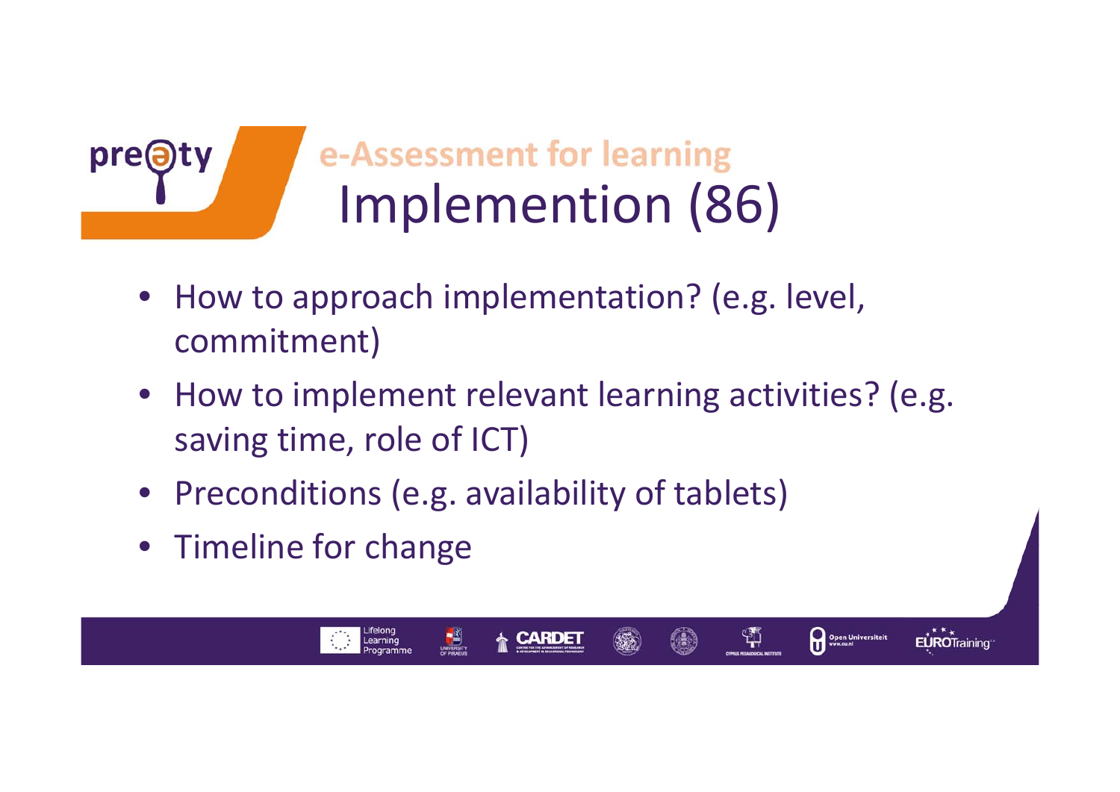

## e-Assessment for learning Implemention (86)

- How to approach implementation? (e.g. level, commitment)
- How to implement relevant learning activities? (e.g. saving time, role of ICT)

Open Universiteit

ង្ស

- Preconditions (e.g. availability of tablets)
- Timeline for change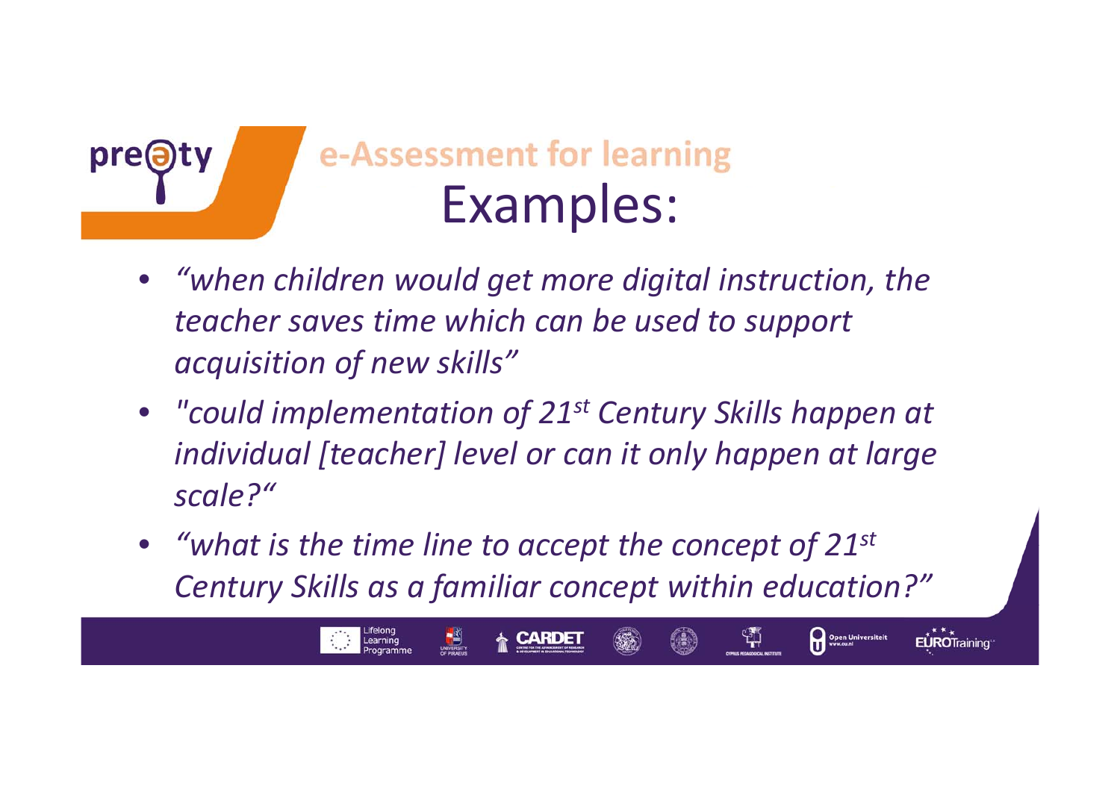

- $\bullet$  *"when children would get more digital instruction, the teacher saves time which can be used to support acquisition of new skills"*
- *"could implementation of 21st Century Skills happen at individual [teacher] level or can it only happen at large scale?"*
- *"what is the time line to accept the concept of 21st Century Skills as <sup>a</sup> familiar concept within education?"*

Open Universiteit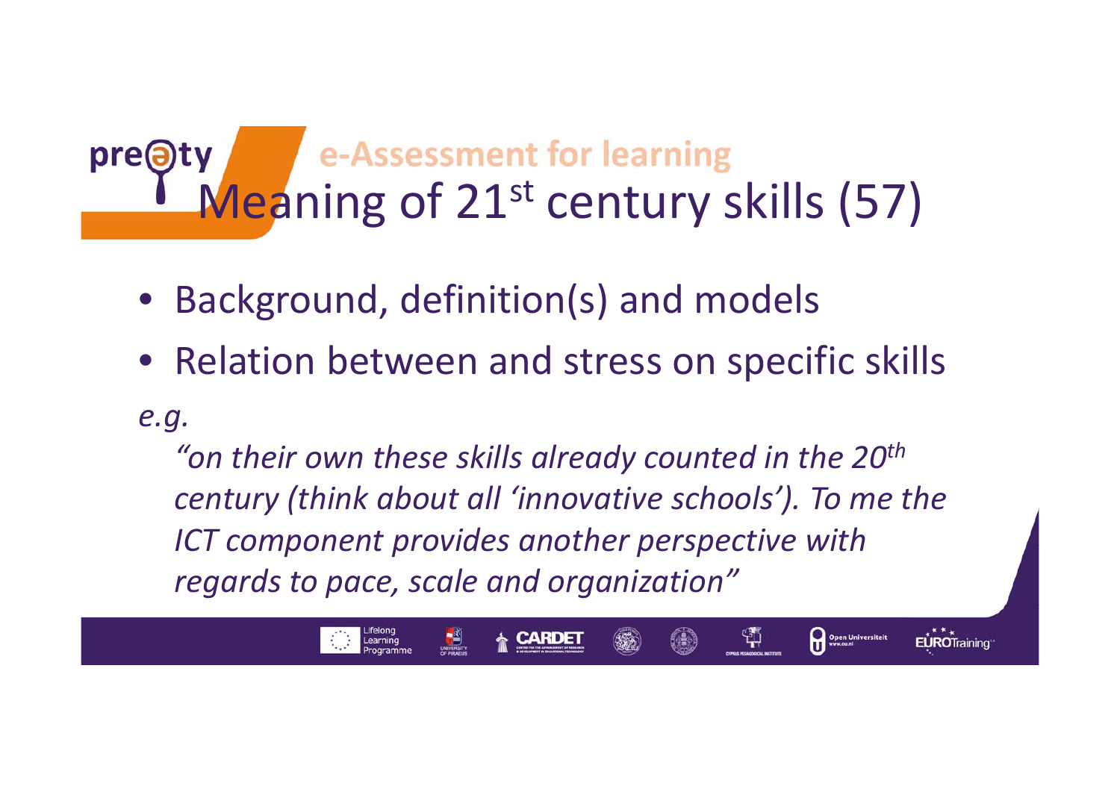## y<br>Meaning of 21<sup>st</sup> century skills (57) **pre@**

- Background, definition(s) and models
- Relation between and stress on specific skills

#### *e.g.*

*"on their own these skills already counted in the 20th century (think about all 'innovative schools'). To me the ICT component provides another perspective with regards to pace, scale and organization"*

Open Universiteit

EUROTraining

្សុ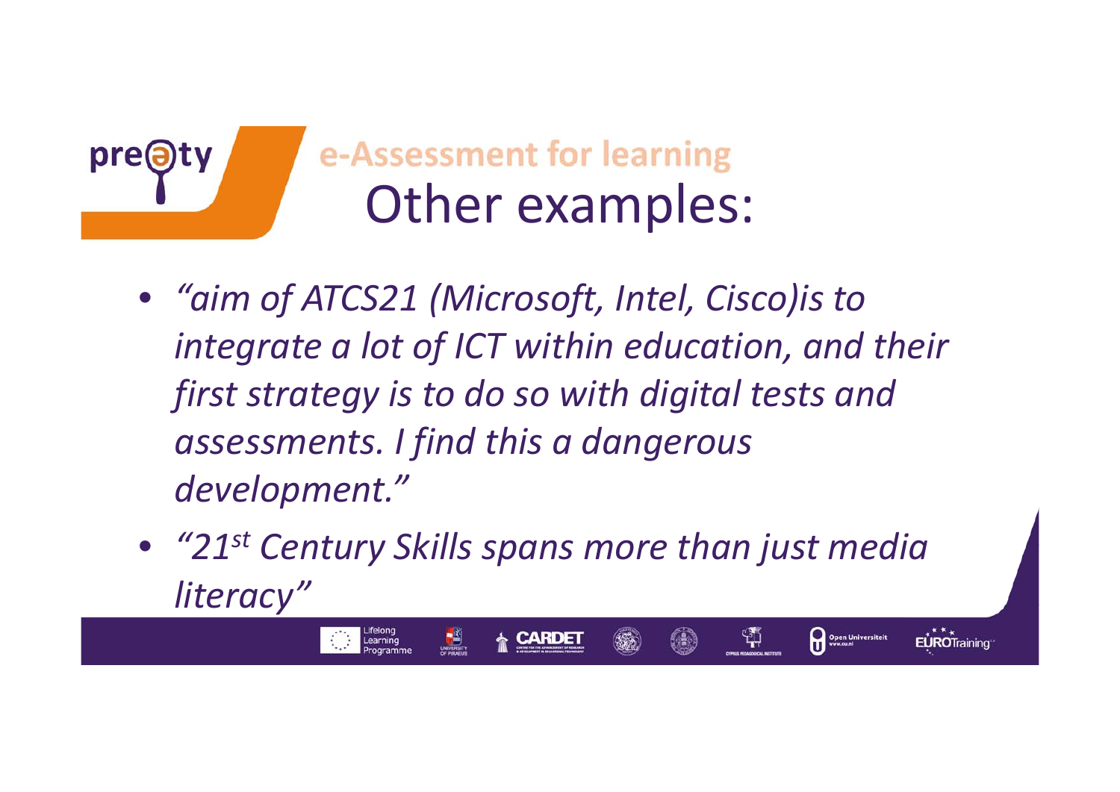

pre@

- *"aim of ATCS21 (Microsoft, Intel, Cisco)is to integrate <sup>a</sup> lot of ICT within education, and their first strategy is to do so with digital tests and assessments. I find this <sup>a</sup> dangerous development."*
- *"21st Century Skills spans more than just media literacy"*

ቑ

Open Universiteit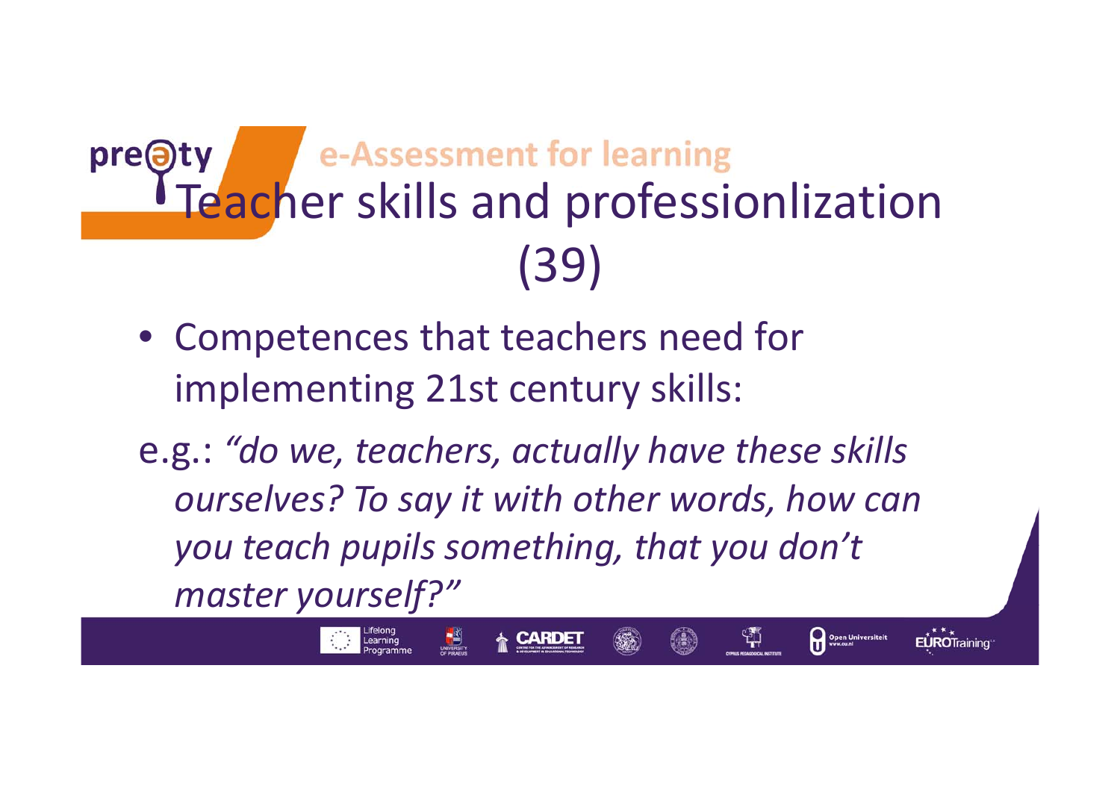### e-Assessment for learning pre@ty Teacher skills and professionlization (39)

- Competences that teachers need for implementing 21st century skills:
- e.g.: *"do we, teachers, actually have these skills ourselves? To say it with other words, how can you teach pupils something, that you don't master yourself?"*

ቑ

Open Universiteit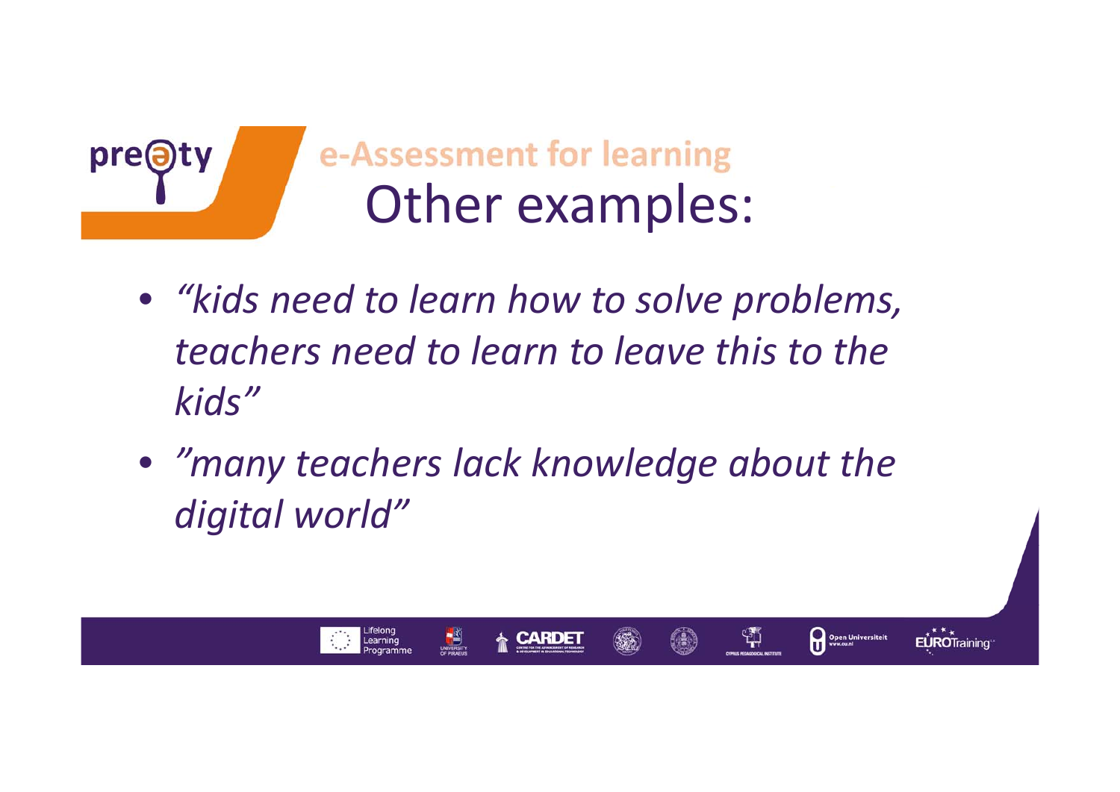

Learning

- *"kids need to learn how to solve problems, teachers need to learn to leave this to the kids"*
- *"many teachers lack knowledge about the digital world"*

Open Universiteit

EUROTraining

쒀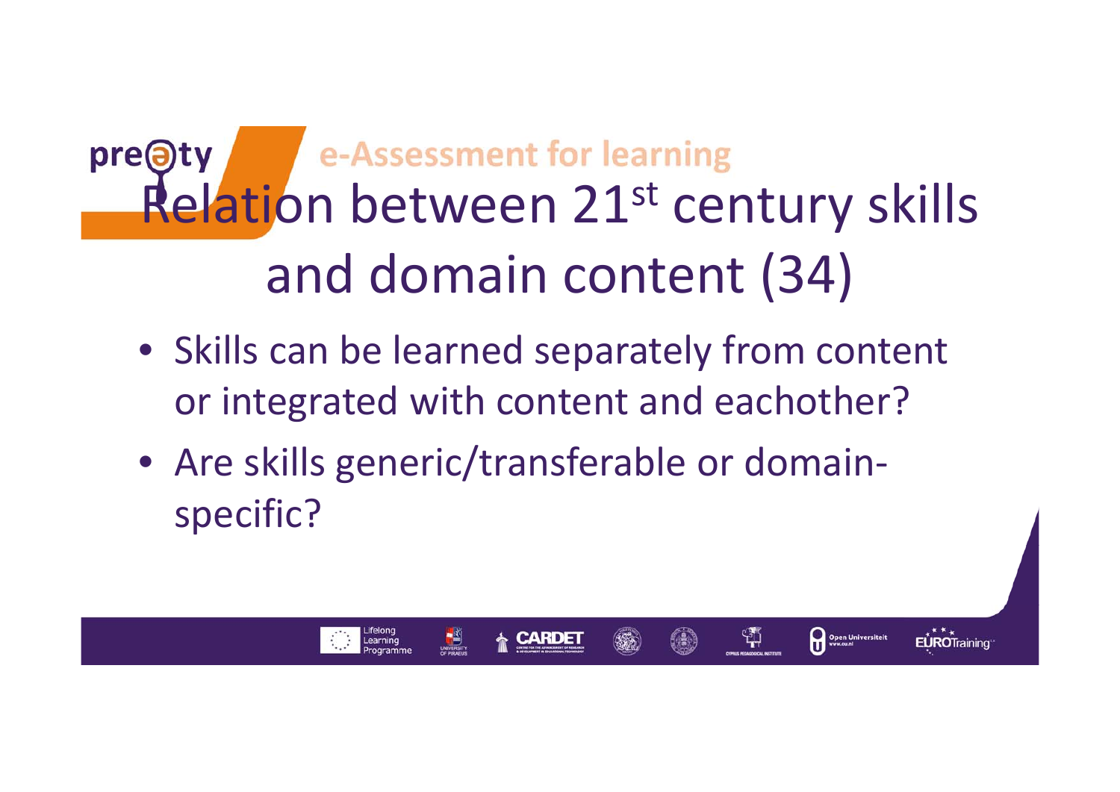## $pre$  $\Theta$ ty Relation between 21st century skills and domain content (34)

• Skills can be learned separately from content or integrated with content and eachother?

Open Universiteit

**EUROTraining** 

ង្ស

• Are skills generic/transferable or domain‐ specific?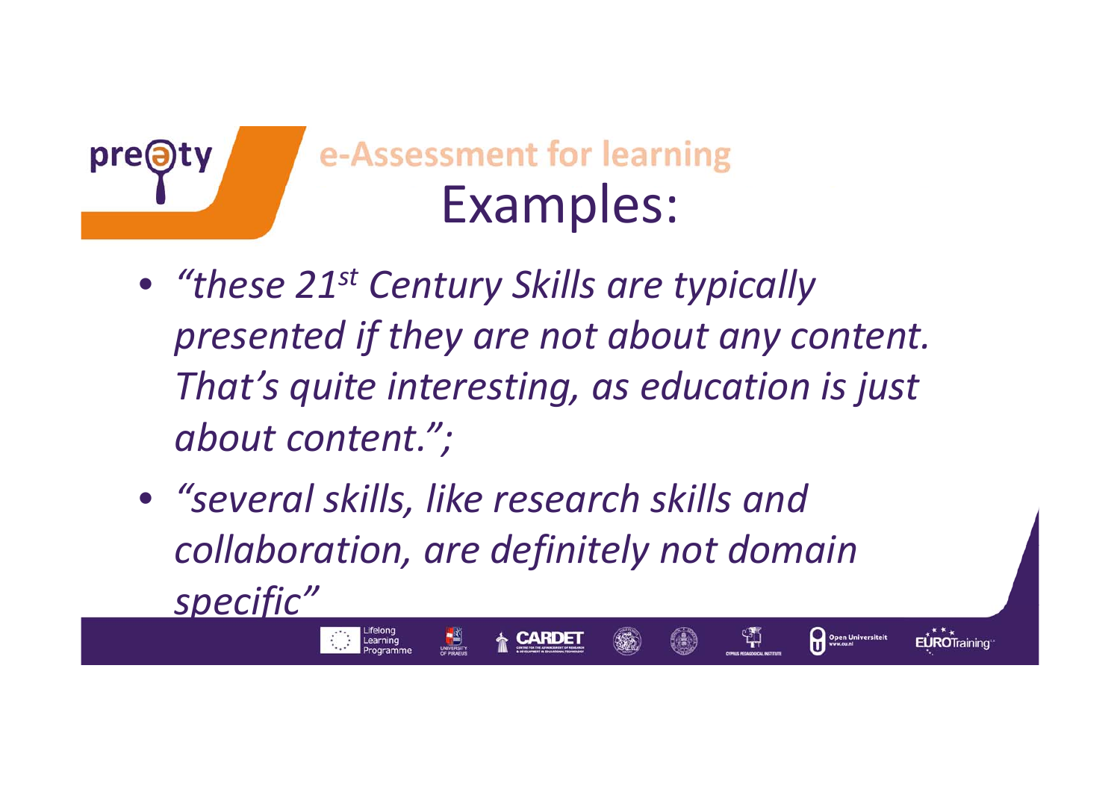

- *"these 21st Century Skills are typically presented if they are not about any content. That's quite interesting, as education is just about content.";*
- *"several skills, like research skills and collaboration, are definitely not domain specific"*

ቑ

Open Universiteit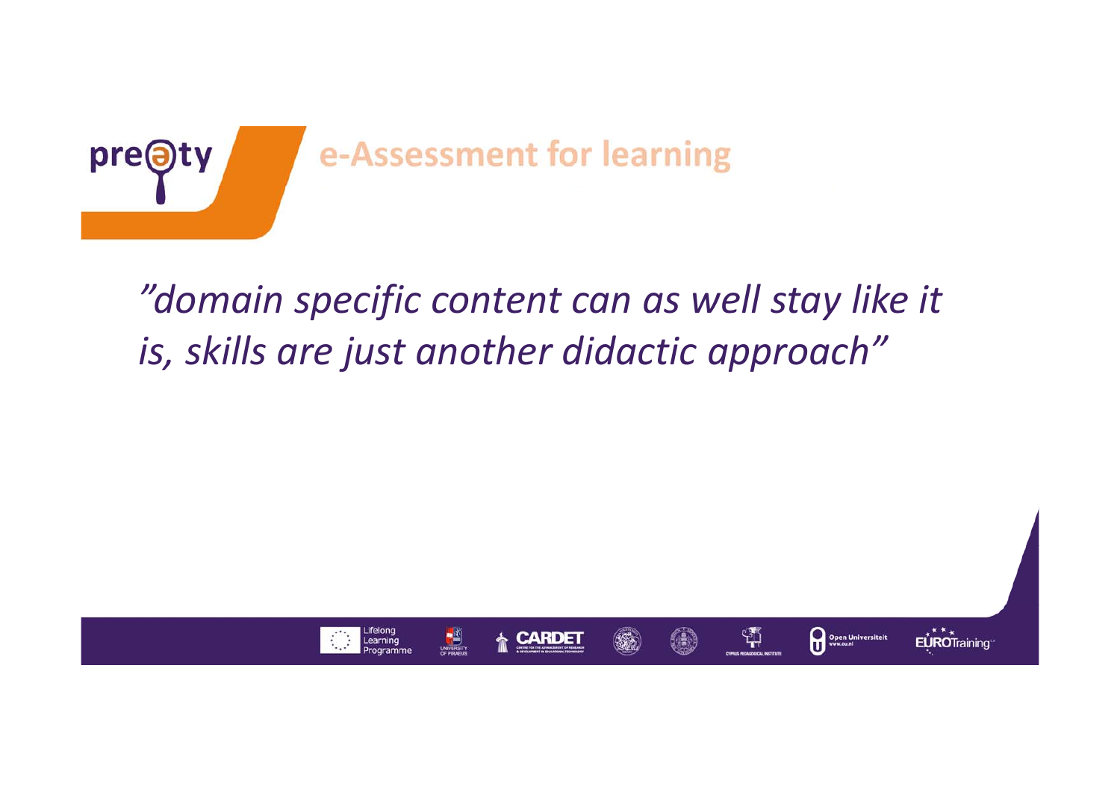

### *"domain specific content can as well stay like it is, skills are just another didactic approach"*

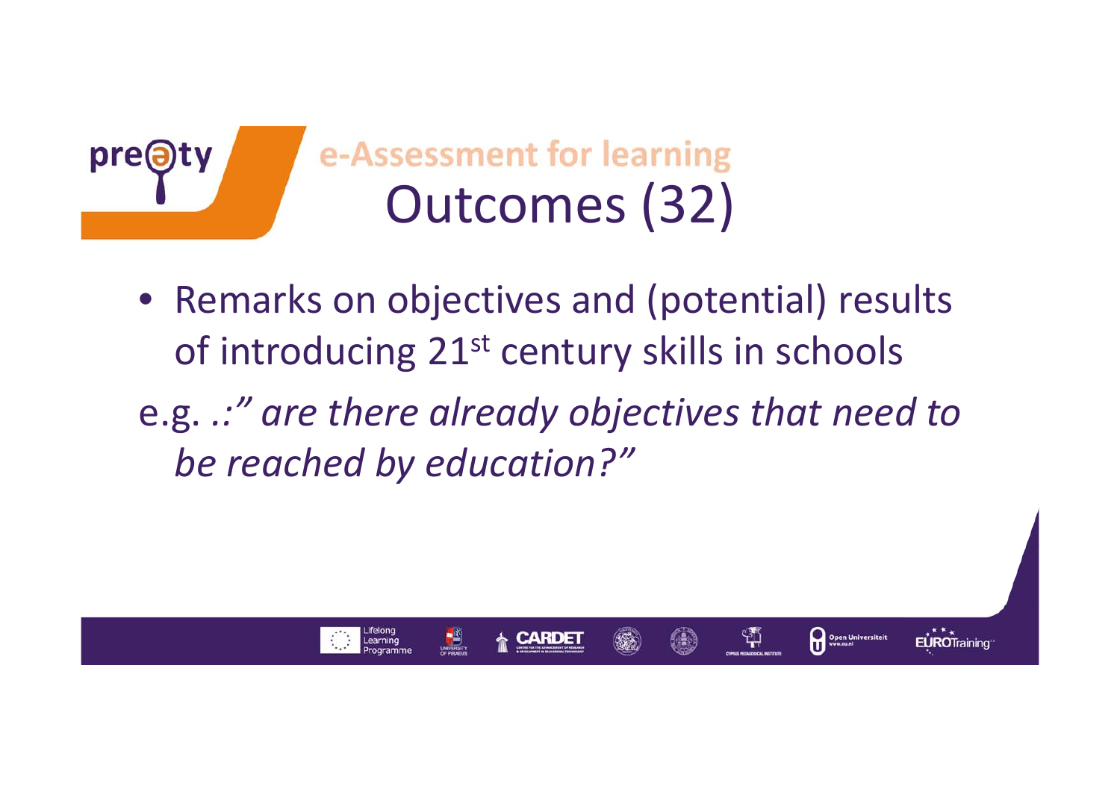

- Remarks on objectives and (potential) results of introducing 21 $^{\rm st}$  century skills in schools
- e.g. *.:" are there already objectives that need to be reached by education?"*

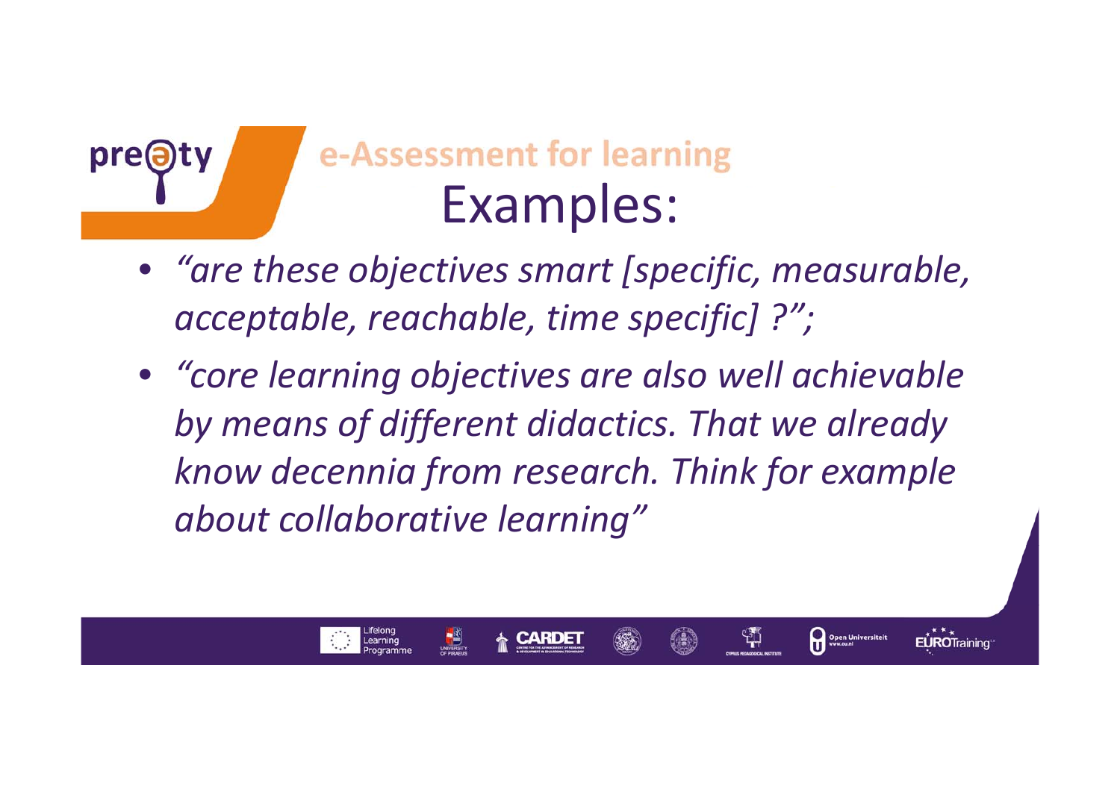

## e-Assessment for learning Examples:

- *"are these objectives smart [specific, measurable, acceptable, reachable, time specific] ?";*
- *"core learning objectives are also well achievable by means of different didactics. That we already know decennia from research. Think for example about collaborative learning"*

ቑ

Open Universiteit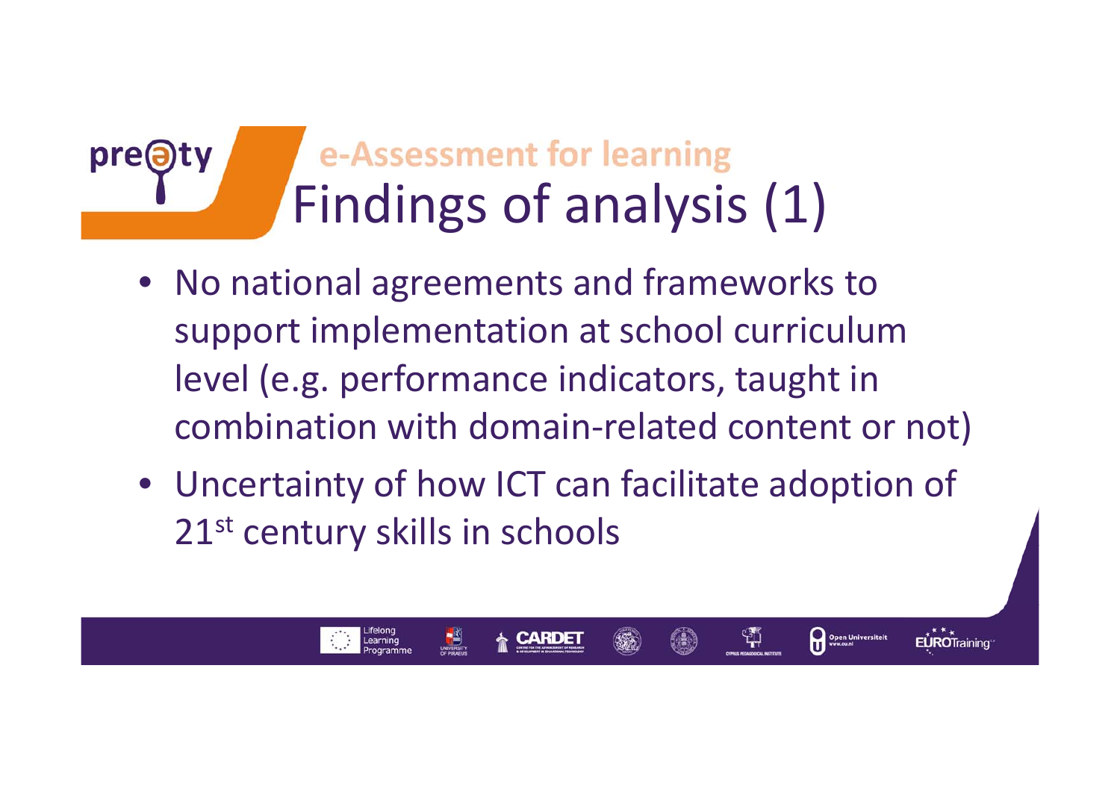#### e-Assessment for learning pre@ Findings of analysis (1)

- No national agreements and frameworks to support implementation at school curriculum level (e.g. performance indicators, taught in combination with domain‐related content or not)
- Uncertainty of how ICT can facilitate adoption of 21<sup>st</sup> century skills in schools

쒀

Open Universiteit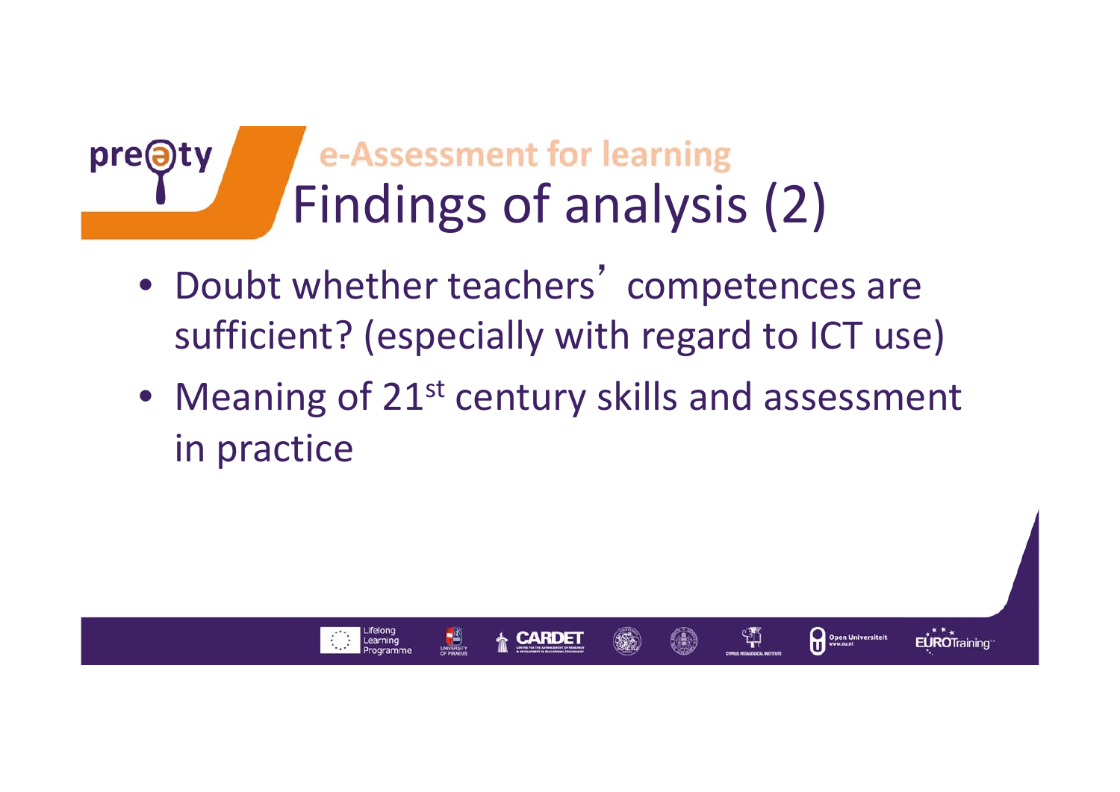#### e-Assessment for learning pre@ Findings of analysis (2)

- Doubt whether teachers' competences are sufficient? (especially with regard to ICT use)
- Meaning of 21<sup>st</sup> century skills and assessment in practice

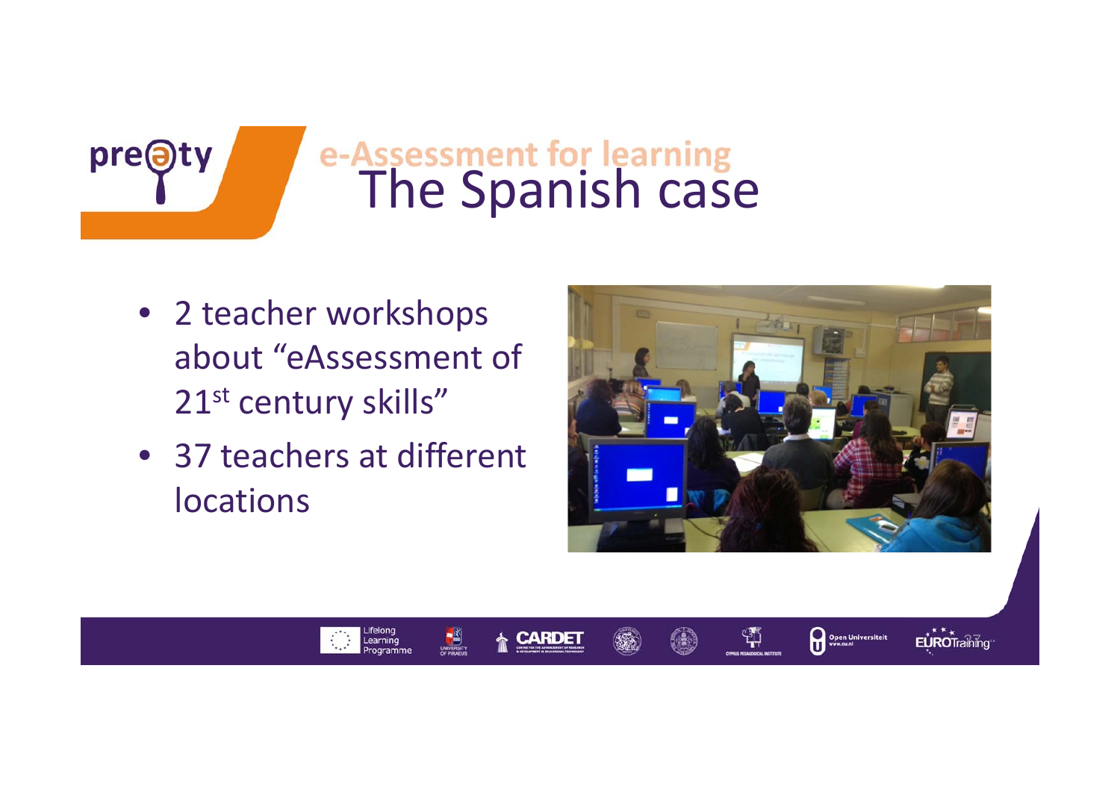# The Spanish case

• 2 teacher workshops about "eAssessment of 21st century skills"

pre@ty

• 37 teachers at different locations



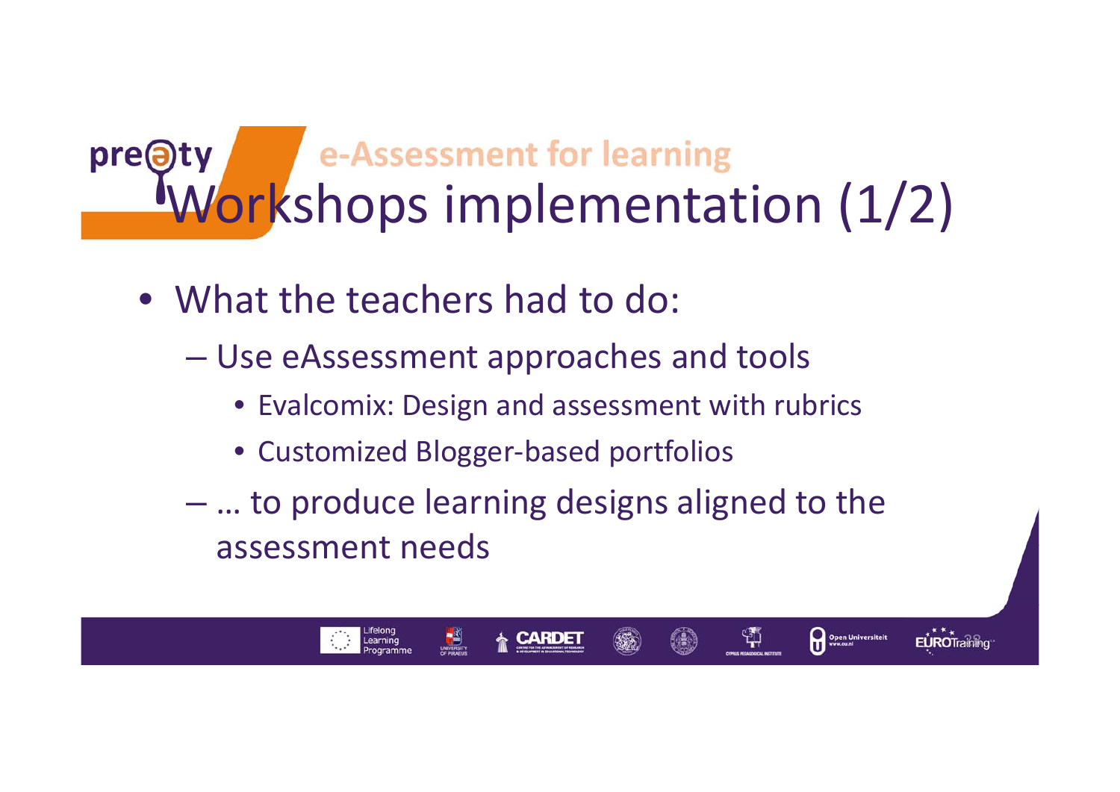## Div e-Assessment for learning<br>Workshops implementation (1/2) pre<sup>a</sup>

- What the teachers had to do:
	- – Use eAssessment approaches and tools
		- Evalcomix: Design and assessment with rubrics
		- Customized Blogger‐based portfolios
	- – … to produce learning designs aligned to the assessment needs

 $28$ 

ង្ស

Open Universiteit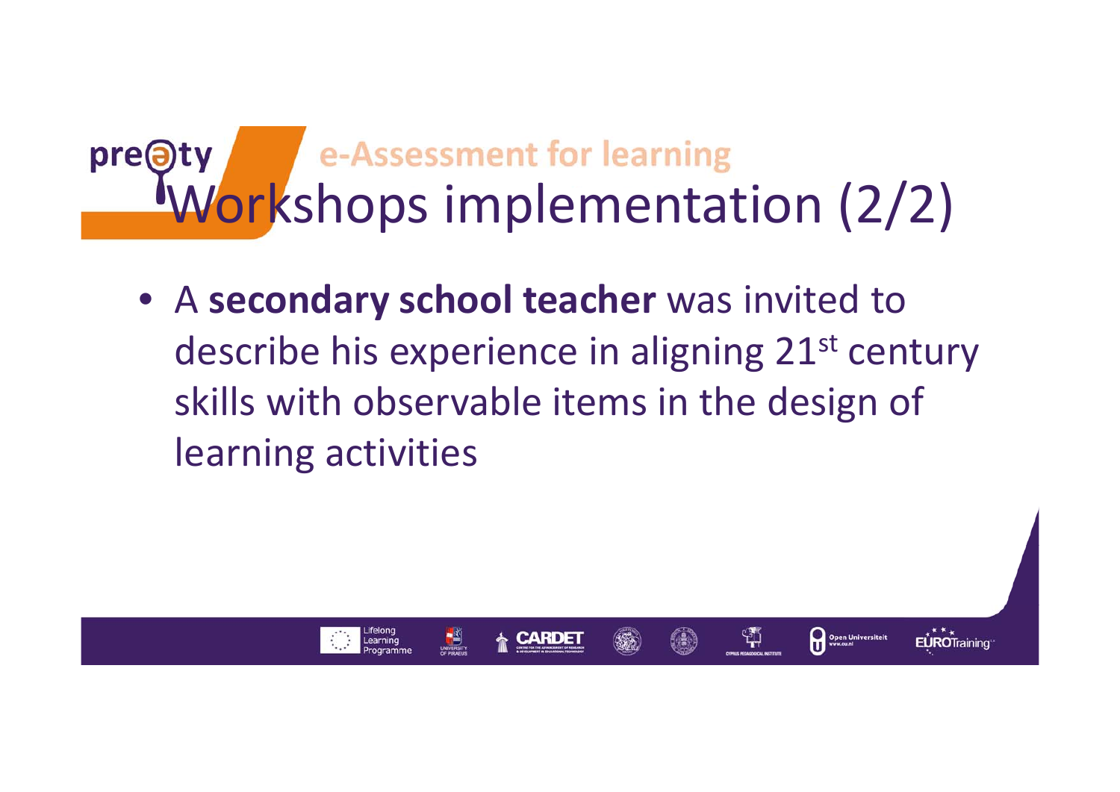## Dry e-Assessment for learning<br>Workshops implementation (2/2) pre(a)

• A **secondary school teacher** was invited to describe his experience in aligning 21st century skills with observable items in the design of learning activities

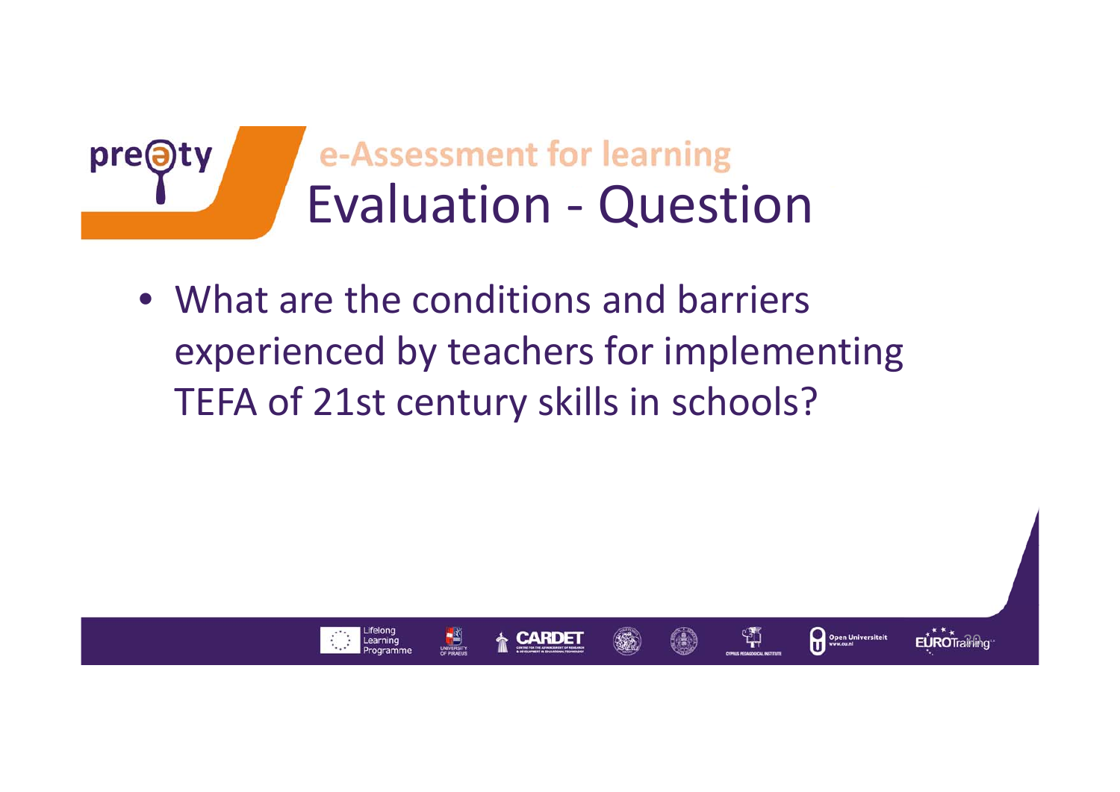

• What are the conditions and barriers experienced by teachers for implementing TEFA of 21st century skills in schools?

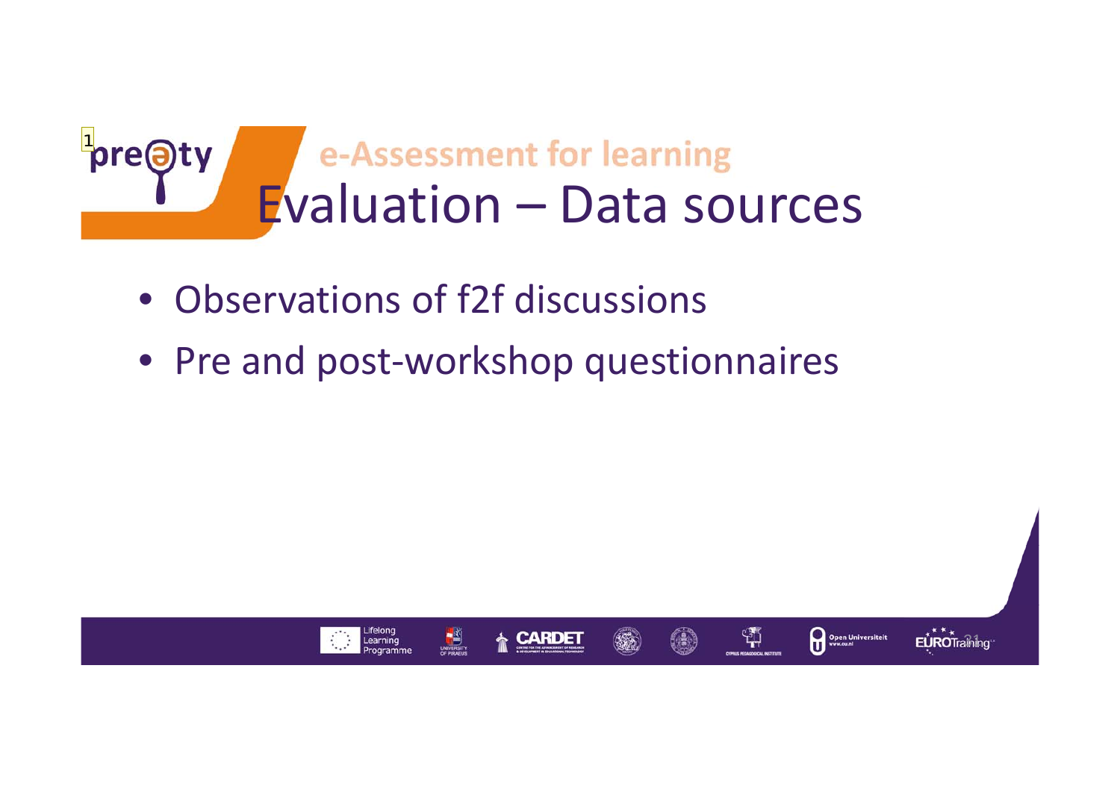

- Observations of f2f discussions
- Pre and post‐workshop questionnaires

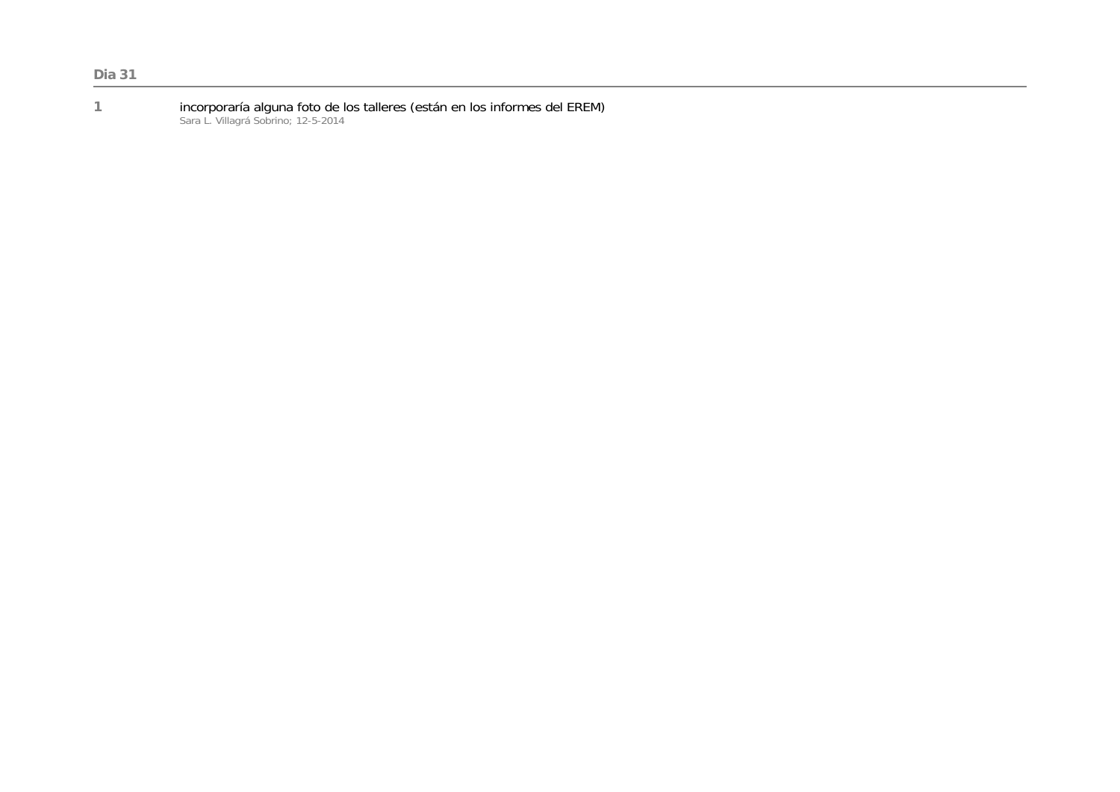**<sup>1</sup>**incorporaría alguna foto de los talleres (están en los informes del EREM) Sara L. Villagrá Sobrino; 12-5-2014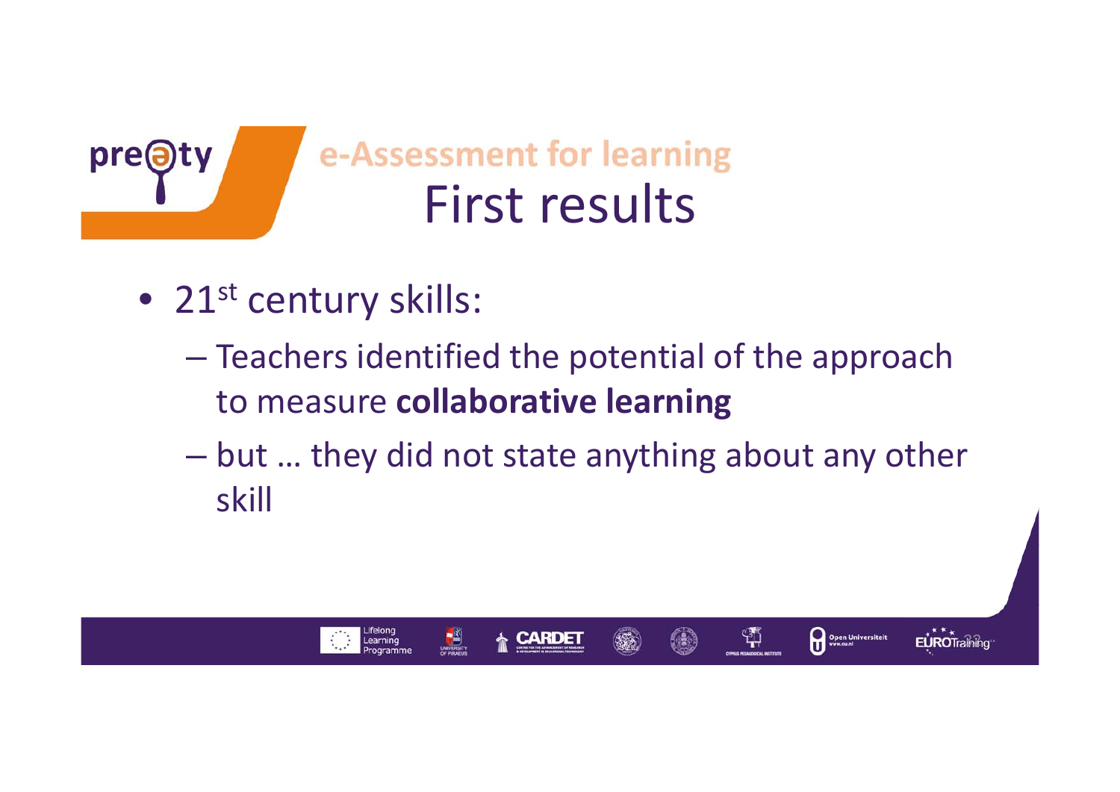

e-Assessment for learning First results

 $\bullet$  21st century skills:

Learning

- – Teachers identified the potential of the approach to measure **collaborative learning**
- but … they did not state anything about any other skill

**EUROTraining** 

쒂

Open Universiteit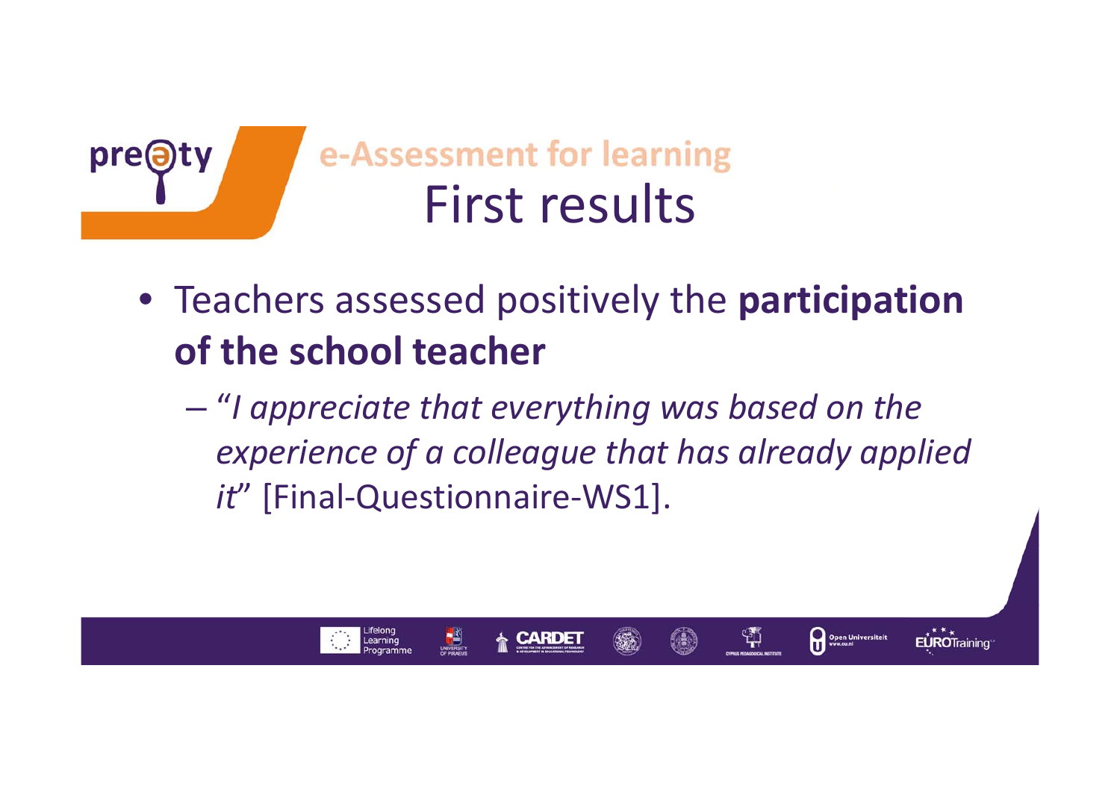

- Teachers assessed positively the **participation of the school teacher**
	- "*I appreciate that everything was based on the experience of <sup>a</sup> colleague that has already applied it*" [Final-Questionnaire-WS1].

쒀

Open Universiteit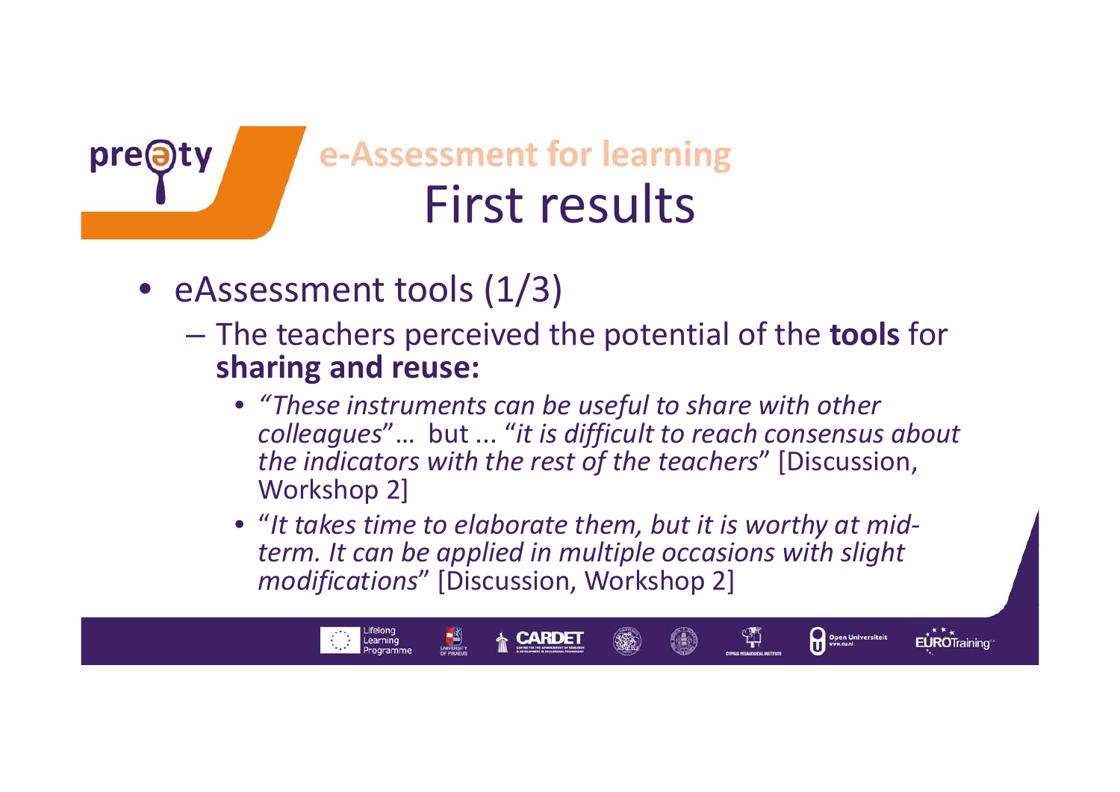

## e-Assessment for learning First results

• eAssessment tools (1/3)

Learning

- The teachers perceived the potential of the **tools** for **sharing and reuse:**
	- *"These instruments can be useful to share with other colleagues*"… but ... "*it is difficult to reach consensus about the indicators with the rest of the teachers*" [Discussion, Workshop 2]
	- "*It takes time to elaborate them, but it is worthy at mid‐ term. It can be applied in multiple occasions with slight modifications*" [Discussion, Workshop 2]

Open Universiteit

្សុ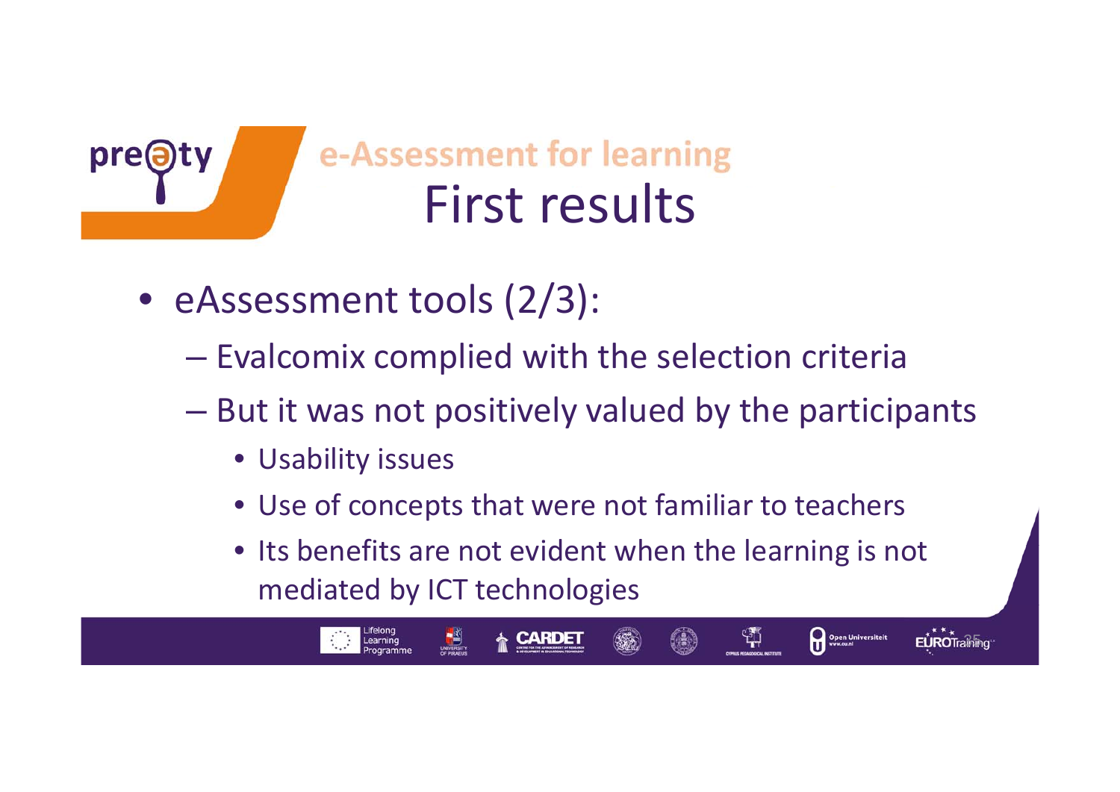

- eAssessment tools (2/3):
	- – $-$  Evalcomix complied with the selection criteria
	- – But it was not positively valued by the participants
		- Usability issues

Learning

- Use of concepts that were not familiar to teachers
- Its benefits are not evident when the learning is not mediated by ICT technologies

 $E$ **URO**Training

Open Universiteit

ង្ស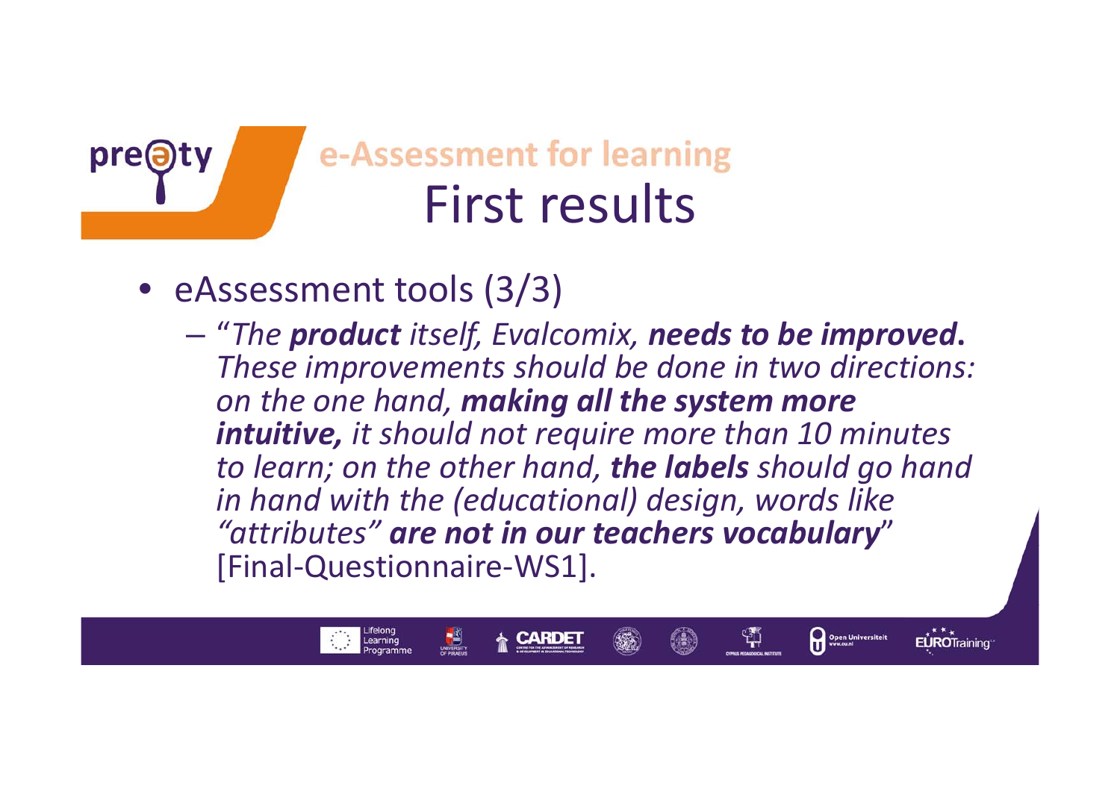

### e-Assessment for learning First results

• eAssessment tools (3/3)

Lifelong<br>Learning

– "*The product itself, Evalcomix, needs to be improved***.** *These improvements should be done in two directions: on the one hand, making all the system more intuitive, it should not require more than 10 minutes to learn; on the other hand, the labels should go hand in hand with the (educational) design, words like "attributes" are not in our teachers vocabulary*" [Final‐Questionnaire‐WS1].

Open Universiteit

ង្ស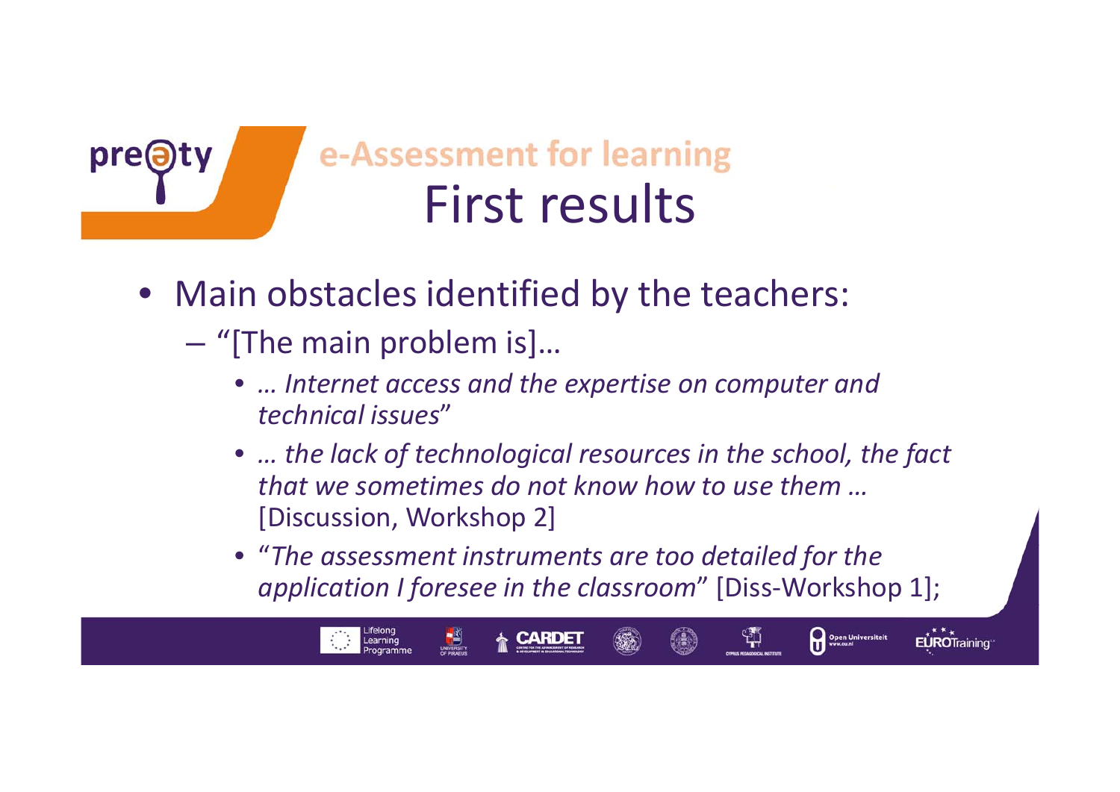

## e-Assessment for learning First results

- Main obstacles identified by the teachers:
	- "[The main problem is]...

Learning

- *… Internet access and the expertise on computer and technical issues*"
- •*… the lack of technological resources in the school, the fact that we sometimes do not know how to use them …* [Discussion, Workshop 2]
- "*The assessment instruments are too detailed for the application I foresee in the classroom*" [Diss‐Workshop 1];

Open Universiteit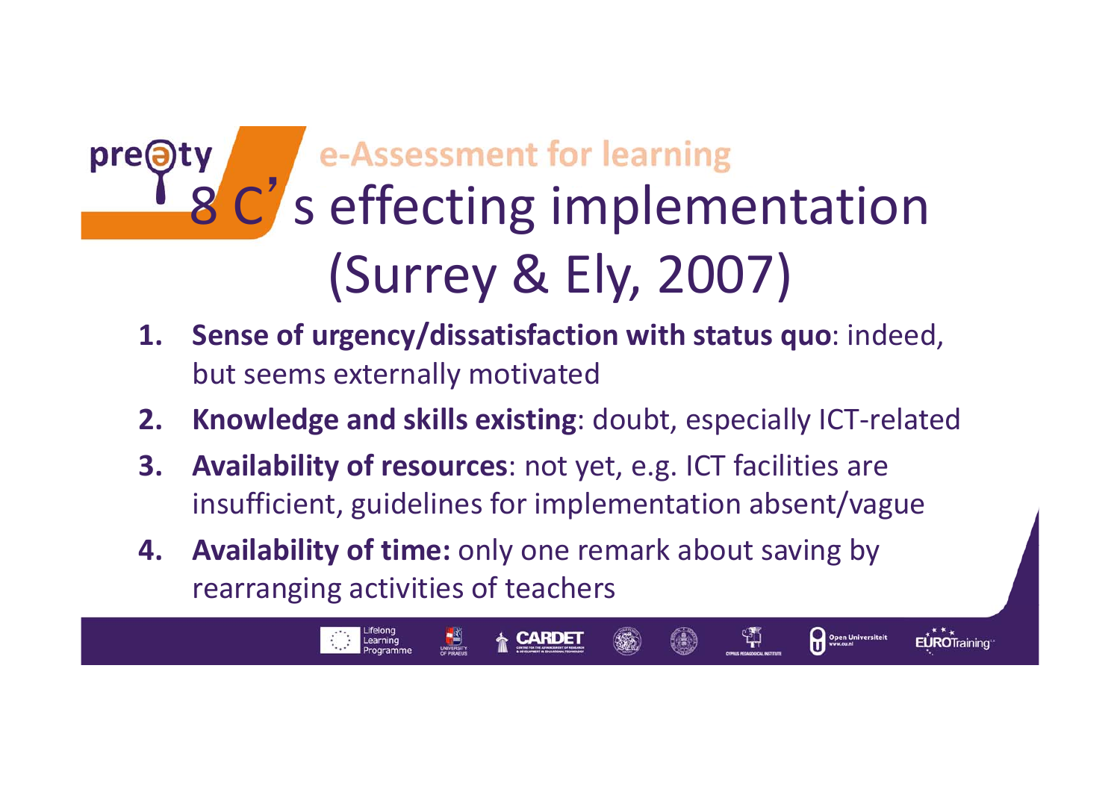### e-Assessment for learning<br>C's effecting implementation pre@ 8(Surrey & Ely, 2007)

- **1. Sense of urgency/dissatisfaction with status quo**: indeed, but seems externally motivated
- **2. Knowledge and skills existing**: doubt, especially ICT‐related

Open Universiteit

EUROTraining

ង្ស

- **3. Availability of resources**: not yet, e.g. ICT facilities are insufficient, guidelines for implementation absent/vague
- **4. Availability of time:** only one remark about saving by rearranging activities of teachers

Learning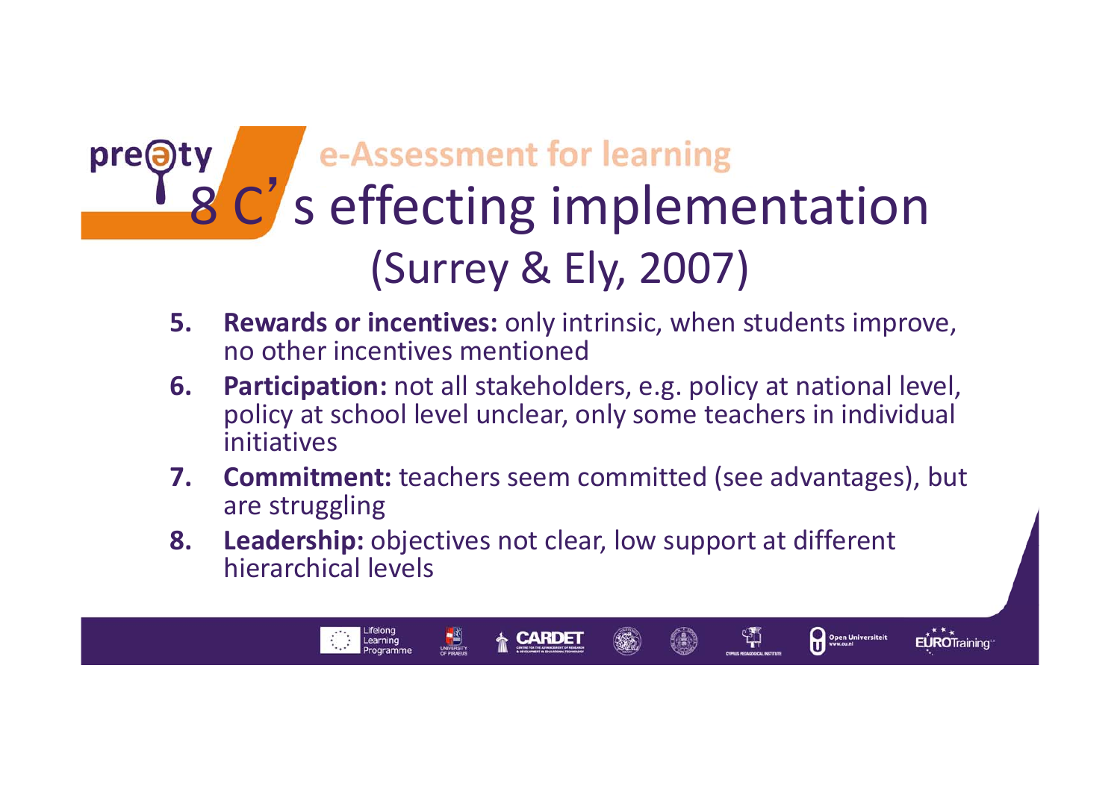## pre<sup>(a)</sup> 8 C's effecting implementation (Surrey & Ely, 2007)

- **5. Rewards or incentives:** only intrinsic, when students improve, no other incentives mentioned
- **6. Participation:** not all stakeholders, e.g. policy at national level, policy at school level unclear, only some teachers in individual initiatives
- **7. Commitment:** teachers seem committed (see advantages), but are struggling

Open Universiteit

ង្ស

EUROTraining

**8. Leadership:** objectives not clear, low support at different hierarchical levels

Learning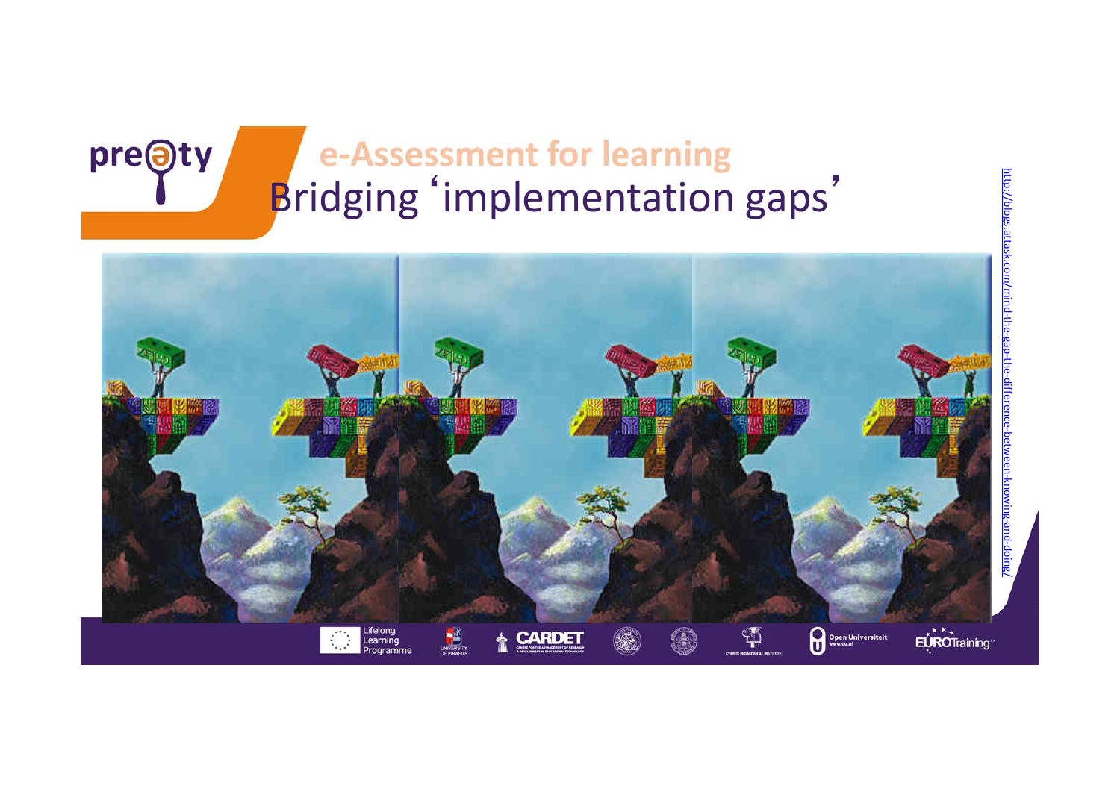### e-Assessment for learning Bridging'implementation gaps'

http://blogs

pre@ty

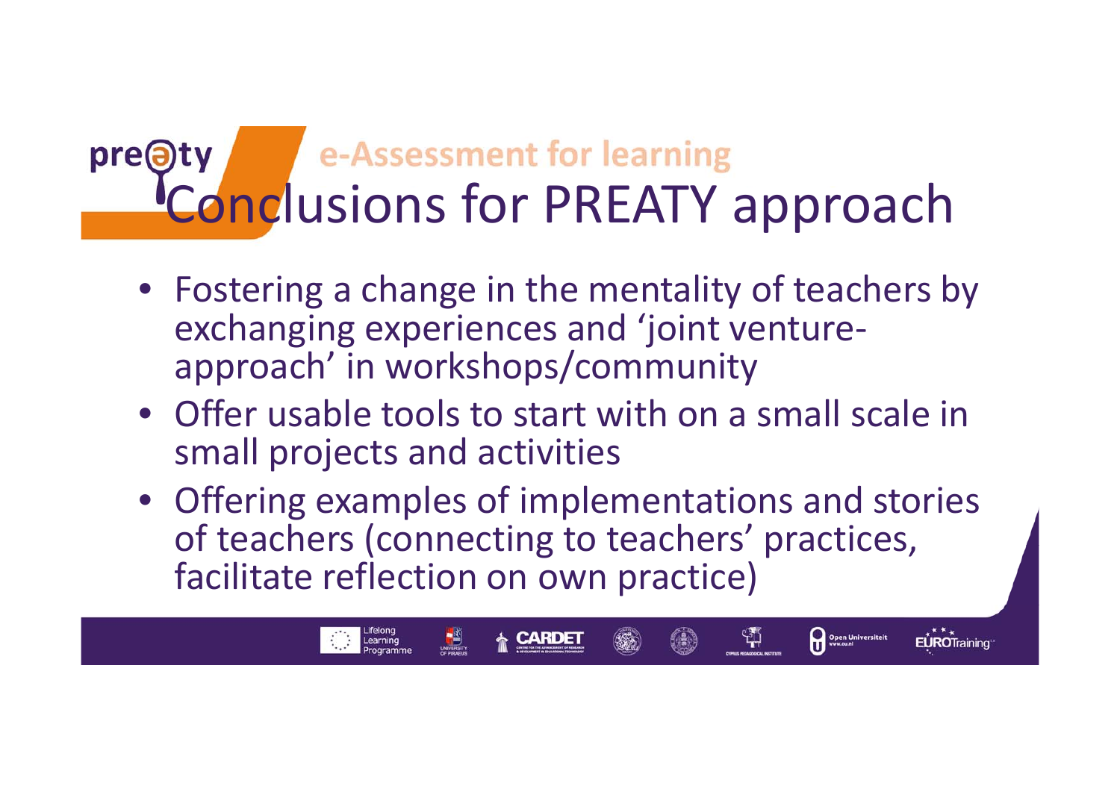#### e-Assessment for learning pre@t Conclusions for PREATY approach

- Fostering <sup>a</sup> change in the mentality of teachers by exchanging experiences and 'joint venture‐ approach' in workshops/community
- Offer usable tools to start with on <sup>a</sup> small scale in small projects and activities
- Offering examples of implementations and stories of teachers (connecting to teachers' practices, facilitate reflection on own practice)

EUROTraining

Open Universiteit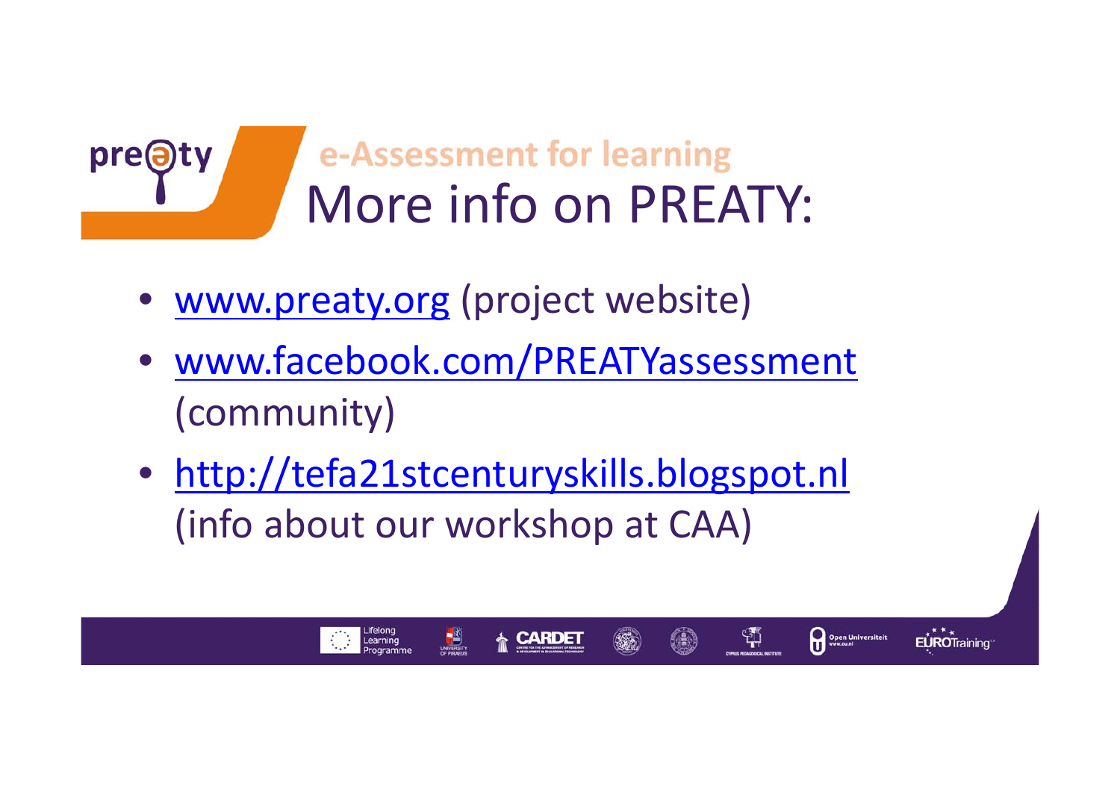

• www.preaty.org (project website)

pre<sup>O</sup>

- www.facebook.com/PREATYassessment (community)
- http://tefa21stcenturyskills.blogspot.nl (info about our workshop at CAA)

 $\frac{1}{2}$ 

Learning

쒂

Open Universiteit